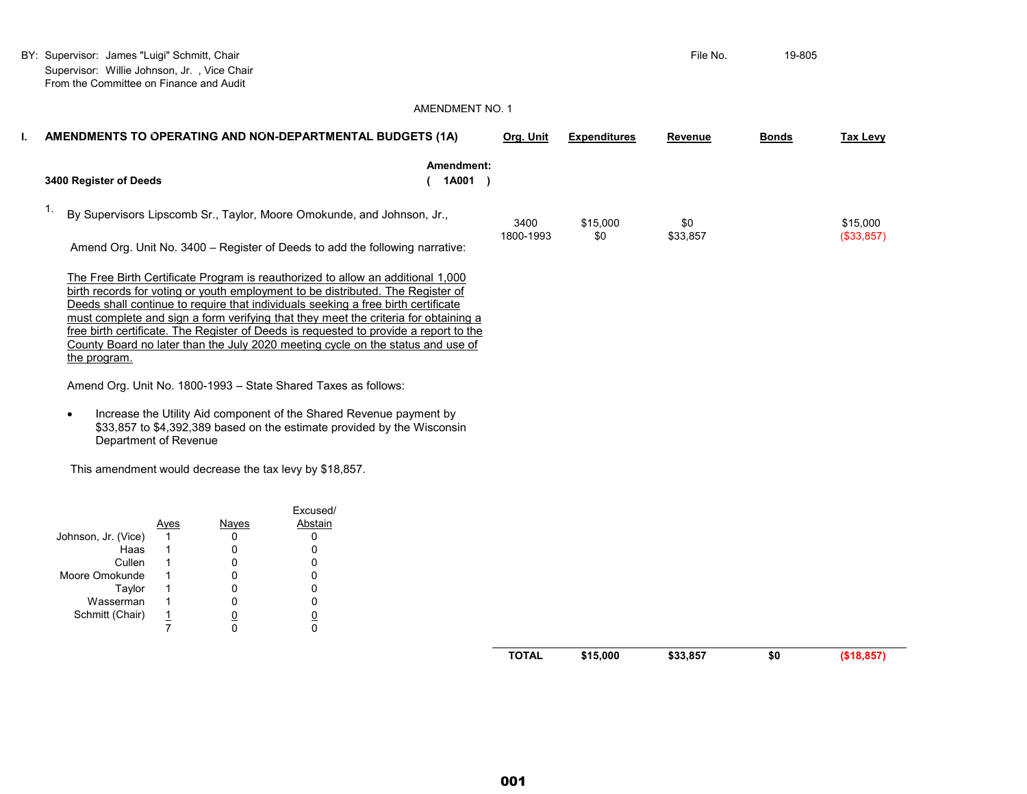BY: Supervisor: James "Luigi" Schmitt, Chair File No. 19-805 Supervisor: Willie Johnson, Jr. , Vice Chair From the Committee on Finance and Audit

# AMENDMENT NO. <sup>1</sup>

|                                                                                                                                                                                                                                                                                                                                                                                                                                                                                                                                                                                                                                                                                                                                                                                                      |                                         |                                                        | AMENDMENTS TO OPERATING AND NON-DEPARTMENTAL BUDGETS (1A)                           |                      | Org. Unit         | <b>Expenditures</b> | Revenue         | <b>Bonds</b> | <b>Tax Levy</b>        |
|------------------------------------------------------------------------------------------------------------------------------------------------------------------------------------------------------------------------------------------------------------------------------------------------------------------------------------------------------------------------------------------------------------------------------------------------------------------------------------------------------------------------------------------------------------------------------------------------------------------------------------------------------------------------------------------------------------------------------------------------------------------------------------------------------|-----------------------------------------|--------------------------------------------------------|-------------------------------------------------------------------------------------|----------------------|-------------------|---------------------|-----------------|--------------|------------------------|
| 3400 Register of Deeds                                                                                                                                                                                                                                                                                                                                                                                                                                                                                                                                                                                                                                                                                                                                                                               |                                         |                                                        |                                                                                     | Amendment:<br>1A001) |                   |                     |                 |              |                        |
| 1.                                                                                                                                                                                                                                                                                                                                                                                                                                                                                                                                                                                                                                                                                                                                                                                                   |                                         |                                                        | By Supervisors Lipscomb Sr., Taylor, Moore Omokunde, and Johnson, Jr.,              |                      | 3400<br>1800-1993 | \$15,000<br>\$0     | \$0<br>\$33,857 |              | \$15,000<br>(\$33,857) |
|                                                                                                                                                                                                                                                                                                                                                                                                                                                                                                                                                                                                                                                                                                                                                                                                      |                                         |                                                        | Amend Org. Unit No. 3400 - Register of Deeds to add the following narrative:        |                      |                   |                     |                 |              |                        |
| The Free Birth Certificate Program is reauthorized to allow an additional 1,000<br>birth records for voting or youth employment to be distributed. The Register of<br>Deeds shall continue to require that individuals seeking a free birth certificate<br>must complete and sign a form verifying that they meet the criteria for obtaining a<br>free birth certificate. The Register of Deeds is requested to provide a report to the<br>County Board no later than the July 2020 meeting cycle on the status and use of<br>the program.<br>Amend Org. Unit No. 1800-1993 - State Shared Taxes as follows:<br>Increase the Utility Aid component of the Shared Revenue payment by<br>$\bullet$<br>\$33,857 to \$4,392,389 based on the estimate provided by the Wisconsin<br>Department of Revenue |                                         |                                                        |                                                                                     |                      |                   |                     |                 |              |                        |
|                                                                                                                                                                                                                                                                                                                                                                                                                                                                                                                                                                                                                                                                                                                                                                                                      |                                         |                                                        | This amendment would decrease the tax levy by \$18,857.                             |                      |                   |                     |                 |              |                        |
| Johnson, Jr. (Vice)<br>Haas<br>Cullen<br>Moore Omokunde<br>Taylor<br>Wasserman<br>Schmitt (Chair)                                                                                                                                                                                                                                                                                                                                                                                                                                                                                                                                                                                                                                                                                                    | Ayes<br>$\overline{1}$<br>$\frac{1}{7}$ | Nayes<br>0<br>0<br>0<br>0<br>0<br>$\underline{0}$<br>0 | Excused/<br>Abstain<br>0<br>0<br>0<br>0<br>0<br>0<br>$\underline{0}$<br>$\mathbf 0$ |                      |                   |                     |                 |              |                        |
|                                                                                                                                                                                                                                                                                                                                                                                                                                                                                                                                                                                                                                                                                                                                                                                                      |                                         |                                                        |                                                                                     |                      | <b>TOTAL</b>      | \$15,000            | \$33,857        | \$0          | (\$18,857)             |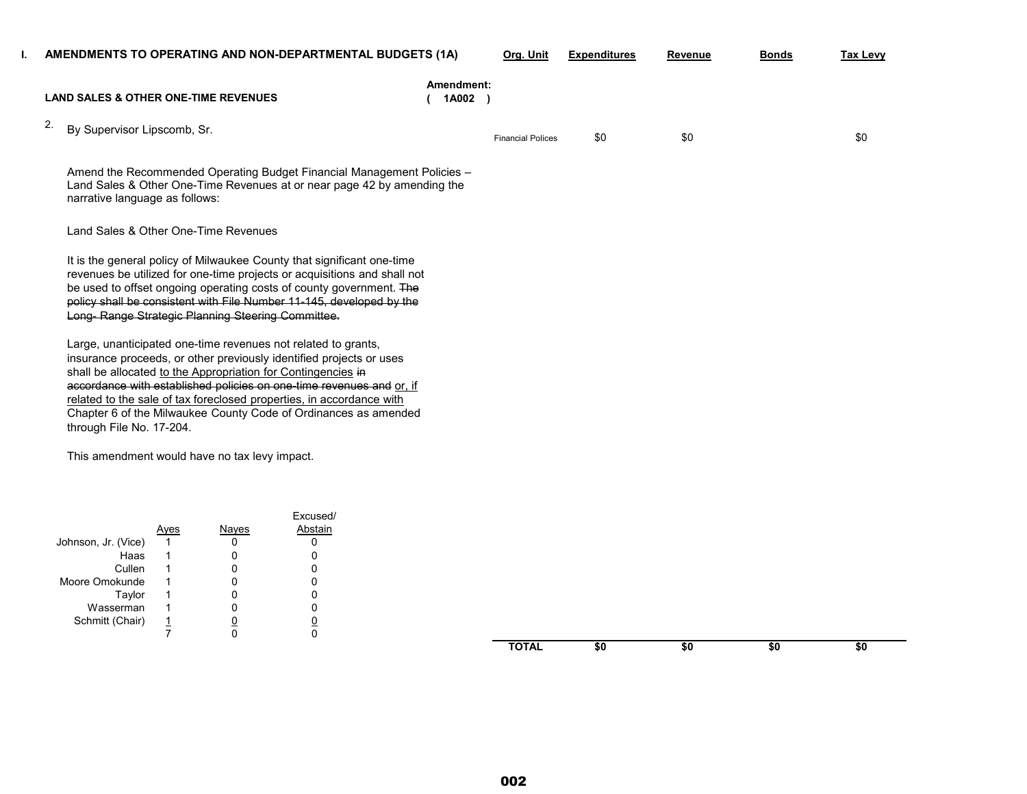| AMENDMENTS TO OPERATING AND NON-DEPARTMENTAL BUDGETS (1A)                                                                                                                                                                                                                                                                                                                                                                                           |                       | Org. Unit                | <b>Expenditures</b> | Revenue | <b>Bonds</b> | <b>Tax Levy</b> |
|-----------------------------------------------------------------------------------------------------------------------------------------------------------------------------------------------------------------------------------------------------------------------------------------------------------------------------------------------------------------------------------------------------------------------------------------------------|-----------------------|--------------------------|---------------------|---------|--------------|-----------------|
| <b>LAND SALES &amp; OTHER ONE-TIME REVENUES</b>                                                                                                                                                                                                                                                                                                                                                                                                     | Amendment:<br>1A002 ) |                          |                     |         |              |                 |
| 2.<br>By Supervisor Lipscomb, Sr.                                                                                                                                                                                                                                                                                                                                                                                                                   |                       | <b>Financial Polices</b> | \$0                 | \$0     |              | \$0             |
| Amend the Recommended Operating Budget Financial Management Policies -<br>Land Sales & Other One-Time Revenues at or near page 42 by amending the<br>narrative language as follows:                                                                                                                                                                                                                                                                 |                       |                          |                     |         |              |                 |
| Land Sales & Other One-Time Revenues                                                                                                                                                                                                                                                                                                                                                                                                                |                       |                          |                     |         |              |                 |
| It is the general policy of Milwaukee County that significant one-time<br>revenues be utilized for one-time projects or acquisitions and shall not<br>be used to offset ongoing operating costs of county government. The<br>policy shall be consistent with File Number 11-145, developed by the<br>Long Range Strategic Planning Steering Committee.                                                                                              |                       |                          |                     |         |              |                 |
| Large, unanticipated one-time revenues not related to grants,<br>insurance proceeds, or other previously identified projects or uses<br>shall be allocated to the Appropriation for Contingencies in<br>accordance with established policies on one time revenues and or, if<br>related to the sale of tax foreclosed properties, in accordance with<br>Chapter 6 of the Milwaukee County Code of Ordinances as amended<br>through File No. 17-204. |                       |                          |                     |         |              |                 |
| This amendment would have no tax levy impact.                                                                                                                                                                                                                                                                                                                                                                                                       |                       |                          |                     |         |              |                 |
| Excused/                                                                                                                                                                                                                                                                                                                                                                                                                                            |                       |                          |                     |         |              |                 |
| Abstain<br>Nayes<br><u>Ayes</u><br>0<br>0<br>Johnson, Jr. (Vice)<br>$\mathbf{1}$                                                                                                                                                                                                                                                                                                                                                                    |                       |                          |                     |         |              |                 |

|                     | Aves | Nayes | Abstain |
|---------------------|------|-------|---------|
| Johnson, Jr. (Vice) |      |       |         |
| Haas                |      |       | O       |
| Cullen              |      |       |         |
| Moore Omokunde      |      |       |         |
| Taylor              |      |       | O       |
| Wasserman           |      |       | 0       |
| Schmitt (Chair)     |      |       |         |
|                     |      |       |         |

**TOTAL \$0 \$0 \$0 \$0**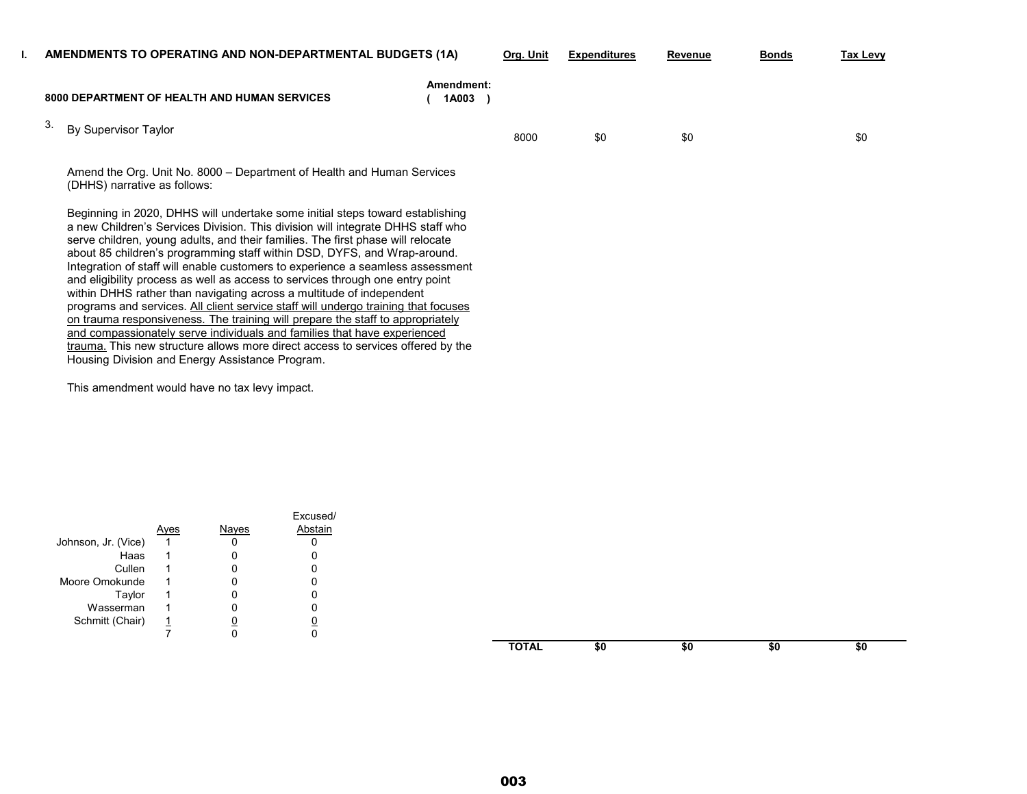|                              |                                                                                                 | Org. Unit                                                                                                                                                                                                                                                                                                                                                                                                                                                                                                                                                                                                                                                                                                                                                                                                                                                                                                                                                                                                                                                | <b>Expenditures</b> | Revenue | <b>Bonds</b> | Tax Levy |
|------------------------------|-------------------------------------------------------------------------------------------------|----------------------------------------------------------------------------------------------------------------------------------------------------------------------------------------------------------------------------------------------------------------------------------------------------------------------------------------------------------------------------------------------------------------------------------------------------------------------------------------------------------------------------------------------------------------------------------------------------------------------------------------------------------------------------------------------------------------------------------------------------------------------------------------------------------------------------------------------------------------------------------------------------------------------------------------------------------------------------------------------------------------------------------------------------------|---------------------|---------|--------------|----------|
|                              | Amendment:<br>1A003                                                                             |                                                                                                                                                                                                                                                                                                                                                                                                                                                                                                                                                                                                                                                                                                                                                                                                                                                                                                                                                                                                                                                          |                     |         |              |          |
| By Supervisor Taylor         |                                                                                                 | 8000                                                                                                                                                                                                                                                                                                                                                                                                                                                                                                                                                                                                                                                                                                                                                                                                                                                                                                                                                                                                                                                     | \$0                 | \$0     |              | \$0      |
| (DHHS) narrative as follows: |                                                                                                 |                                                                                                                                                                                                                                                                                                                                                                                                                                                                                                                                                                                                                                                                                                                                                                                                                                                                                                                                                                                                                                                          |                     |         |              |          |
|                              |                                                                                                 |                                                                                                                                                                                                                                                                                                                                                                                                                                                                                                                                                                                                                                                                                                                                                                                                                                                                                                                                                                                                                                                          |                     |         |              |          |
|                              | 8000 DEPARTMENT OF HEALTH AND HUMAN SERVICES<br>Housing Division and Energy Assistance Program. | AMENDMENTS TO OPERATING AND NON-DEPARTMENTAL BUDGETS (1A)<br>Amend the Org. Unit No. 8000 – Department of Health and Human Services<br>Beginning in 2020, DHHS will undertake some initial steps toward establishing<br>a new Children's Services Division. This division will integrate DHHS staff who<br>serve children, young adults, and their families. The first phase will relocate<br>about 85 children's programming staff within DSD, DYFS, and Wrap-around.<br>Integration of staff will enable customers to experience a seamless assessment<br>and eligibility process as well as access to services through one entry point<br>within DHHS rather than navigating across a multitude of independent<br>programs and services. All client service staff will undergo training that focuses<br>on trauma responsiveness. The training will prepare the staff to appropriately<br>and compassionately serve individuals and families that have experienced<br>trauma. This new structure allows more direct access to services offered by the |                     |         |              |          |

This amendment would have no tax levy impact.

|                     |     |       | Excused/ |
|---------------------|-----|-------|----------|
|                     | wes | Nayes | Abstain  |
| Johnson, Jr. (Vice) |     |       |          |
| Haas                |     |       |          |
| Cullen              |     |       |          |
| Moore Omokunde      |     |       |          |
| Taylor              |     |       |          |
| Wasserman           |     | 0     |          |
| Schmitt (Chair)     |     |       |          |
|                     |     |       |          |

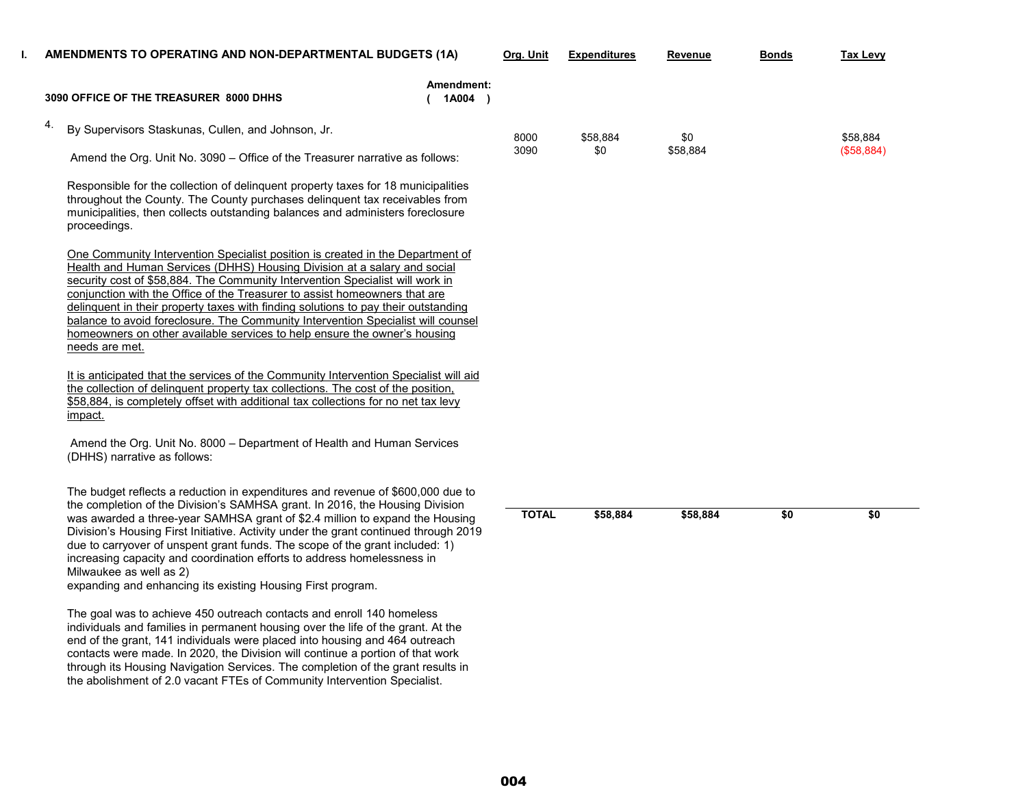| AMENDMENTS TO OPERATING AND NON-DEPARTMENTAL BUDGETS (1A)                                                                                                                                                                                                                                                                                                                                                                                                                                                                                                                                                 |                         | Org. Unit    | <b>Expenditures</b> | Revenue  | <b>Bonds</b> | <b>Tax Levy</b> |
|-----------------------------------------------------------------------------------------------------------------------------------------------------------------------------------------------------------------------------------------------------------------------------------------------------------------------------------------------------------------------------------------------------------------------------------------------------------------------------------------------------------------------------------------------------------------------------------------------------------|-------------------------|--------------|---------------------|----------|--------------|-----------------|
| 3090 OFFICE OF THE TREASURER 8000 DHHS                                                                                                                                                                                                                                                                                                                                                                                                                                                                                                                                                                    | Amendment:<br>$1A004$ ) |              |                     |          |              |                 |
| 4.<br>By Supervisors Staskunas, Cullen, and Johnson, Jr.                                                                                                                                                                                                                                                                                                                                                                                                                                                                                                                                                  |                         | 8000         | \$58,884            | \$0      |              | \$58.884        |
| Amend the Org. Unit No. 3090 - Office of the Treasurer narrative as follows:                                                                                                                                                                                                                                                                                                                                                                                                                                                                                                                              |                         | 3090         | \$0                 | \$58,884 |              | (\$58,884)      |
| Responsible for the collection of delinquent property taxes for 18 municipalities<br>throughout the County. The County purchases delinquent tax receivables from<br>municipalities, then collects outstanding balances and administers foreclosure<br>proceedings.                                                                                                                                                                                                                                                                                                                                        |                         |              |                     |          |              |                 |
| <u>One Community Intervention Specialist position is created in the Department of</u><br>Health and Human Services (DHHS) Housing Division at a salary and social<br>security cost of \$58,884. The Community Intervention Specialist will work in<br>conjunction with the Office of the Treasurer to assist homeowners that are<br>delinquent in their property taxes with finding solutions to pay their outstanding<br>balance to avoid foreclosure. The Community Intervention Specialist will counsel<br>homeowners on other available services to help ensure the owner's housing<br>needs are met. |                         |              |                     |          |              |                 |
| It is anticipated that the services of the Community Intervention Specialist will aid<br>the collection of delinquent property tax collections. The cost of the position,<br>\$58,884, is completely offset with additional tax collections for no net tax levy<br>impact.                                                                                                                                                                                                                                                                                                                                |                         |              |                     |          |              |                 |
| Amend the Org. Unit No. 8000 – Department of Health and Human Services<br>(DHHS) narrative as follows:                                                                                                                                                                                                                                                                                                                                                                                                                                                                                                    |                         |              |                     |          |              |                 |
| The budget reflects a reduction in expenditures and revenue of \$600,000 due to<br>the completion of the Division's SAMHSA grant. In 2016, the Housing Division<br>was awarded a three-year SAMHSA grant of \$2.4 million to expand the Housing<br>Division's Housing First Initiative. Activity under the grant continued through 2019<br>due to carryover of unspent grant funds. The scope of the grant included: 1)<br>increasing capacity and coordination efforts to address homelessness in<br>Milwaukee as well as 2)<br>expanding and enhancing its existing Housing First program.              |                         | <b>TOTAL</b> | \$58,884            | \$58,884 | \$0          | $\overline{50}$ |
| The goal was to achieve 450 outreach contacts and enroll 140 homeless<br>individuals and families in permanent housing over the life of the grant. At the<br>end of the grant, 141 individuals were placed into housing and 464 outreach<br>contacts were made. In 2020, the Division will continue a portion of that work                                                                                                                                                                                                                                                                                |                         |              |                     |          |              |                 |

through its Housing Navigation Services. The completion of the grant results in the abolishment of 2.0 vacant FTEs of Community Intervention Specialist.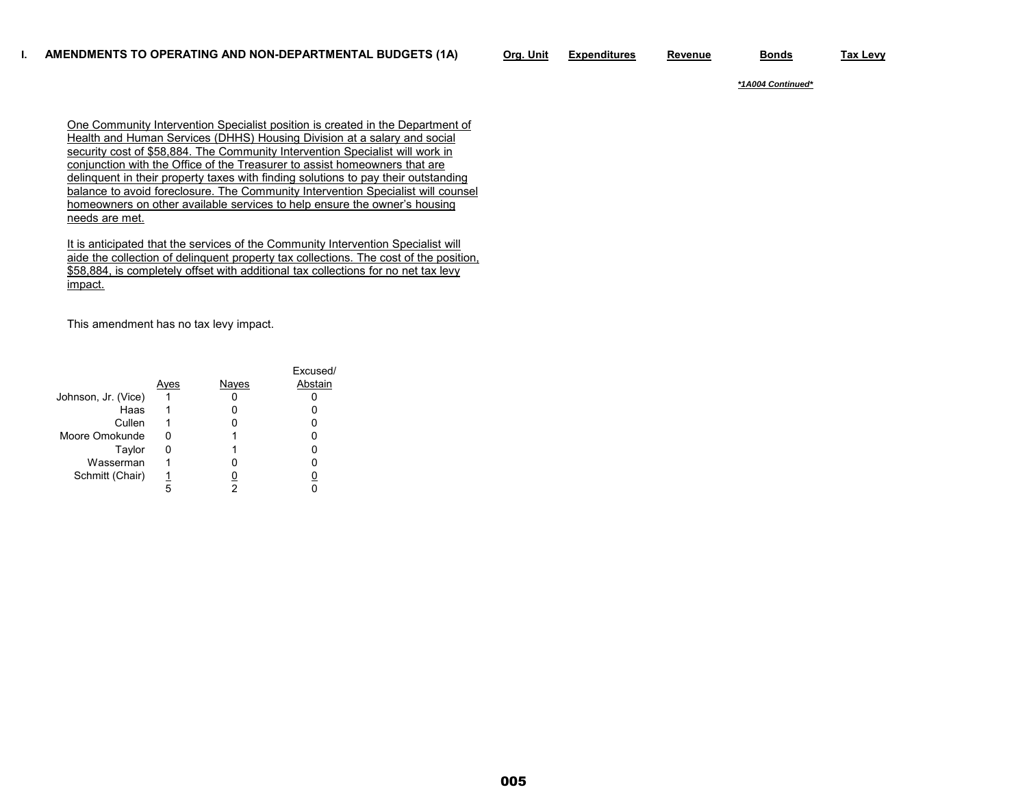#### *\*1A004 Continued\**

One Community Intervention Specialist position is created in the Department of Health and Human Services (DHHS) Housing Division at a salary and social security cost of \$58,884. The Community Intervention Specialist will work in conjunction with the Office of the Treasurer to assist homeowners that are delinquent in their property taxes with finding solutions to pay their outstanding balance to avoid foreclosure. The Community Intervention Specialist will counsel homeowners on other available services to help ensure the owner's housing needs are met.

It is anticipated that the services of the Community Intervention Specialist will aide the collection of delinquent property tax collections. The cost of the position, \$58,884, is completely offset with additional tax collections for no net tax levy impact.

This amendment has no tax levy impact.

|                     |      |       | Excused/ |
|---------------------|------|-------|----------|
|                     | Ayes | Nayes | Abstain  |
| Johnson, Jr. (Vice) |      |       |          |
| Haas                |      |       |          |
| Cullen              |      |       |          |
| Moore Omokunde      | O    |       |          |
| Taylor              |      |       |          |
| Wasserman           |      |       |          |
| Schmitt (Chair)     |      |       |          |
|                     |      |       |          |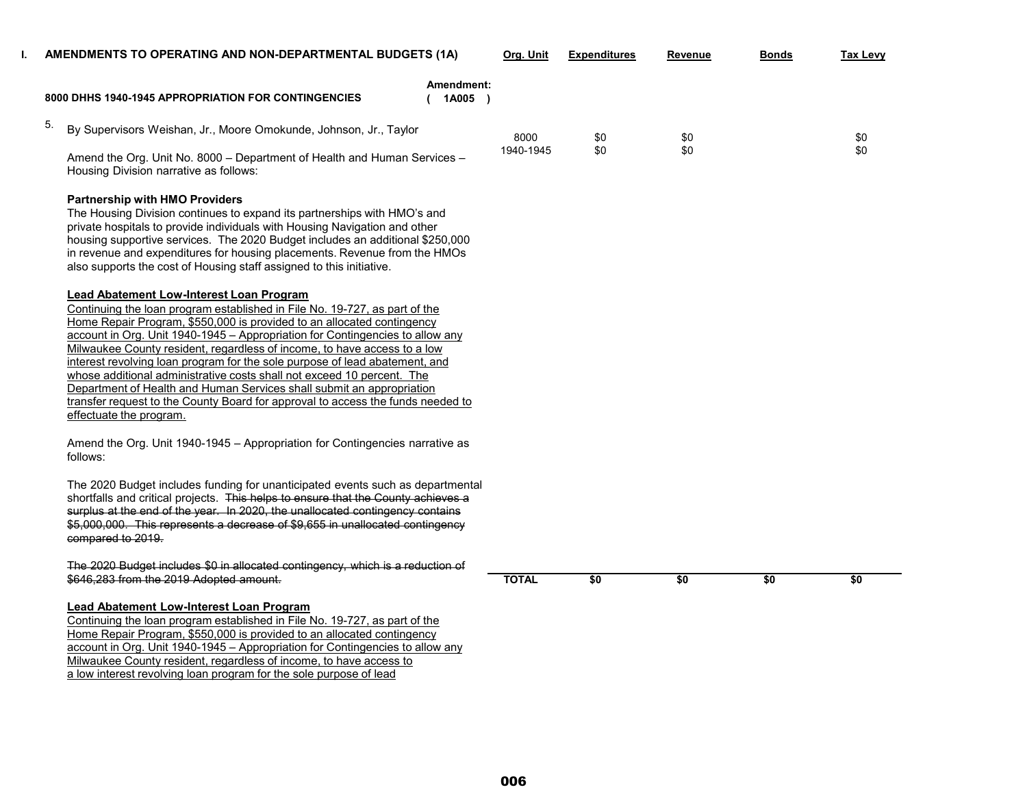| AMENDMENTS TO OPERATING AND NON-DEPARTMENTAL BUDGETS (1A)                                                                                                                                                                                                                                                                                                                                                                                                                                                                                                                                                                                                                                                            | Org. Unit    | <b>Expenditures</b> | Revenue         | <b>Bonds</b> | Tax Levy        |
|----------------------------------------------------------------------------------------------------------------------------------------------------------------------------------------------------------------------------------------------------------------------------------------------------------------------------------------------------------------------------------------------------------------------------------------------------------------------------------------------------------------------------------------------------------------------------------------------------------------------------------------------------------------------------------------------------------------------|--------------|---------------------|-----------------|--------------|-----------------|
| Amendment:<br>1A005 )<br>8000 DHHS 1940-1945 APPROPRIATION FOR CONTINGENCIES                                                                                                                                                                                                                                                                                                                                                                                                                                                                                                                                                                                                                                         |              |                     |                 |              |                 |
| 5.<br>By Supervisors Weishan, Jr., Moore Omokunde, Johnson, Jr., Taylor                                                                                                                                                                                                                                                                                                                                                                                                                                                                                                                                                                                                                                              | 8000         | \$0                 | \$0             |              | \$0             |
| Amend the Org. Unit No. 8000 - Department of Health and Human Services -<br>Housing Division narrative as follows:                                                                                                                                                                                                                                                                                                                                                                                                                                                                                                                                                                                                   | 1940-1945    | \$0                 | \$0             |              | \$0             |
| <b>Partnership with HMO Providers</b><br>The Housing Division continues to expand its partnerships with HMO's and<br>private hospitals to provide individuals with Housing Navigation and other<br>housing supportive services. The 2020 Budget includes an additional \$250,000<br>in revenue and expenditures for housing placements. Revenue from the HMOs<br>also supports the cost of Housing staff assigned to this initiative.                                                                                                                                                                                                                                                                                |              |                     |                 |              |                 |
| <b>Lead Abatement Low-Interest Loan Program</b><br>Continuing the loan program established in File No. 19-727, as part of the<br>Home Repair Program, \$550,000 is provided to an allocated contingency<br>account in Org. Unit 1940-1945 - Appropriation for Contingencies to allow any<br>Milwaukee County resident, regardless of income, to have access to a low<br>interest revolving loan program for the sole purpose of lead abatement, and<br>whose additional administrative costs shall not exceed 10 percent. The<br>Department of Health and Human Services shall submit an appropriation<br>transfer request to the County Board for approval to access the funds needed to<br>effectuate the program. |              |                     |                 |              |                 |
| Amend the Org. Unit 1940-1945 - Appropriation for Contingencies narrative as<br>follows:                                                                                                                                                                                                                                                                                                                                                                                                                                                                                                                                                                                                                             |              |                     |                 |              |                 |
| The 2020 Budget includes funding for unanticipated events such as departmental<br>shortfalls and critical projects. This helps to ensure that the County achieves a<br>surplus at the end of the year. In 2020, the unallocated contingency contains<br>\$5,000,000. This represents a decrease of \$9,655 in unallocated contingency<br>compared to 2019.                                                                                                                                                                                                                                                                                                                                                           |              |                     |                 |              |                 |
| The 2020 Budget includes \$0 in allocated contingency, which is a reduction of<br>\$646,283 from the 2019 Adopted amount.                                                                                                                                                                                                                                                                                                                                                                                                                                                                                                                                                                                            | <b>TOTAL</b> | $\overline{50}$     | $\overline{30}$ | \$0          | $\overline{50}$ |
| <b>Lead Abatement Low-Interest Loan Program</b><br>Continuing the loan program established in File No. 19-727, as part of the<br>Home Repair Program, \$550,000 is provided to an allocated contingency<br>account in Org. Unit 1940-1945 - Appropriation for Contingencies to allow any                                                                                                                                                                                                                                                                                                                                                                                                                             |              |                     |                 |              |                 |

Milwaukee County resident, regardless of income, to have access to a low interest revolving loan program for the sole purpose of lead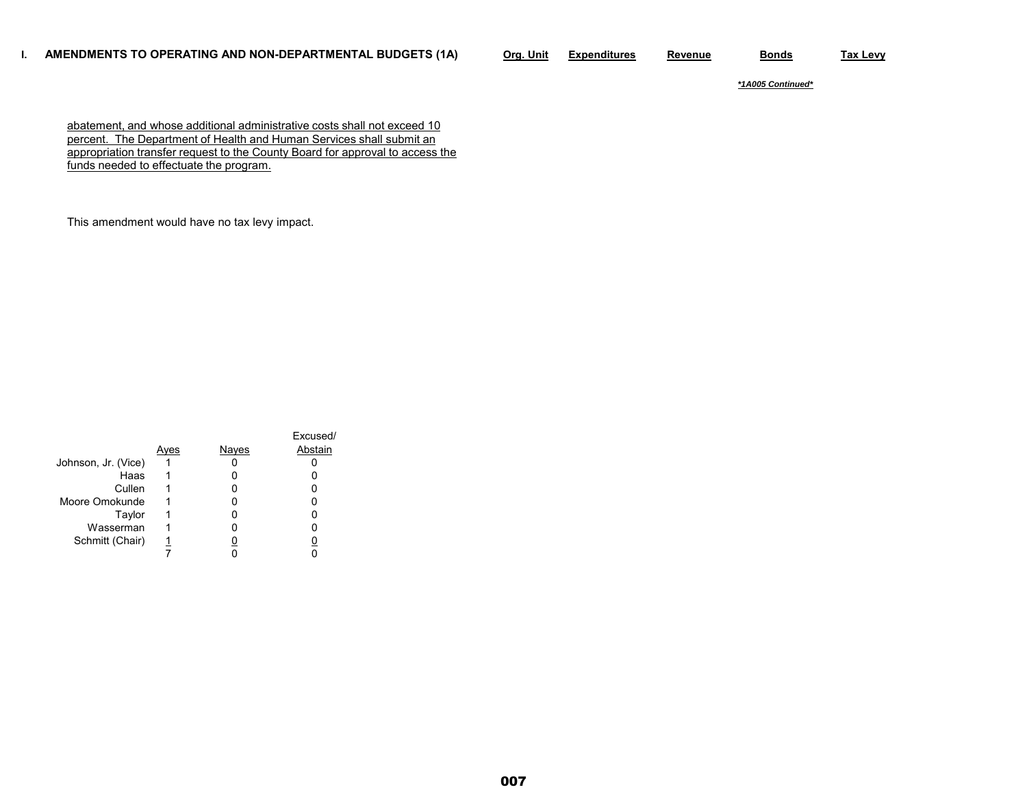*\*1A005 Continued\**

abatement, and whose additional administrative costs shall not exceed 10 percent. The Department of Health and Human Services shall submit an appropriation transfer request to the County Board for approval to access the funds needed to effectuate the program.

This amendment would have no tax levy impact.

|                     |     |       | Excused/ |
|---------------------|-----|-------|----------|
|                     | ves | Nayes | Abstain  |
| Johnson, Jr. (Vice) |     |       |          |
| Haas                |     |       |          |
| Cullen              |     |       |          |
| Moore Omokunde      |     |       |          |
| Taylor              |     |       |          |
| Wasserman           |     |       |          |
| Schmitt (Chair)     |     |       |          |
|                     |     |       |          |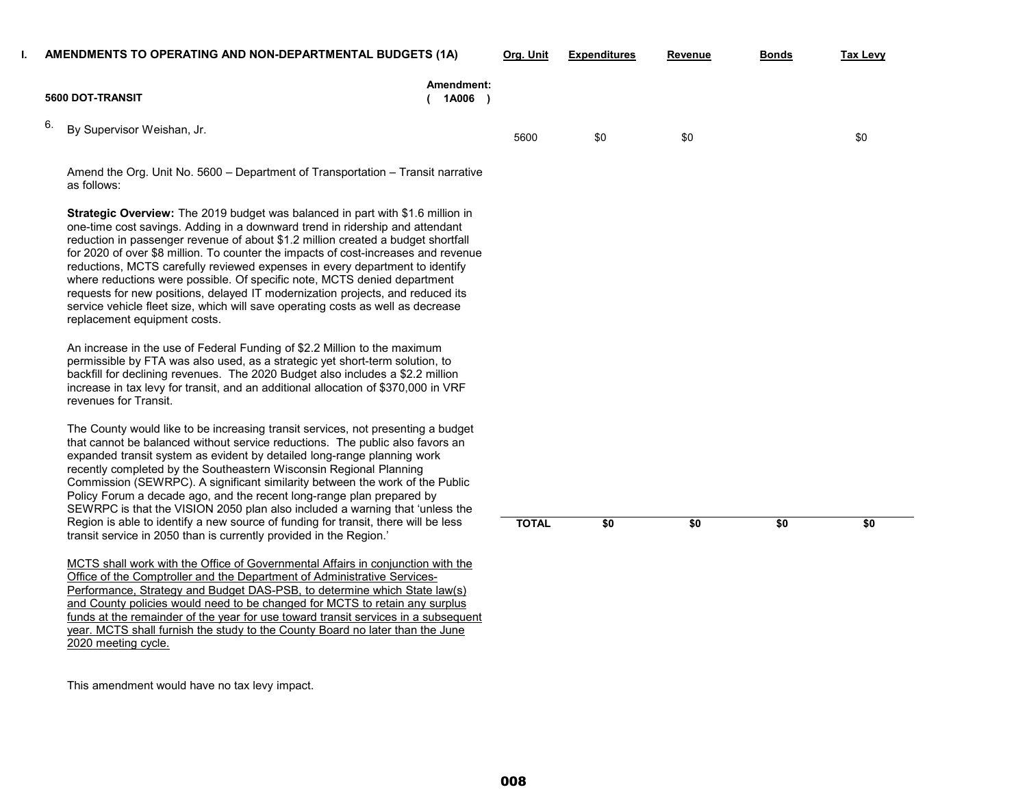| AMENDMENTS TO OPERATING AND NON-DEPARTMENTAL BUDGETS (1A)                                                                                                                                                                                                                                                                                                                                                                                                                                                                                                                                                                                                                                                 |                       | Org. Unit    | <b>Expenditures</b> | Revenue | <b>Bonds</b> | <b>Tax Levy</b> |
|-----------------------------------------------------------------------------------------------------------------------------------------------------------------------------------------------------------------------------------------------------------------------------------------------------------------------------------------------------------------------------------------------------------------------------------------------------------------------------------------------------------------------------------------------------------------------------------------------------------------------------------------------------------------------------------------------------------|-----------------------|--------------|---------------------|---------|--------------|-----------------|
| 5600 DOT-TRANSIT                                                                                                                                                                                                                                                                                                                                                                                                                                                                                                                                                                                                                                                                                          | Amendment:<br>1A006 ) |              |                     |         |              |                 |
| By Supervisor Weishan, Jr.                                                                                                                                                                                                                                                                                                                                                                                                                                                                                                                                                                                                                                                                                |                       | 5600         | \$0                 | \$0     |              | \$0             |
| Amend the Org. Unit No. 5600 – Department of Transportation – Transit narrative<br>as follows:                                                                                                                                                                                                                                                                                                                                                                                                                                                                                                                                                                                                            |                       |              |                     |         |              |                 |
| Strategic Overview: The 2019 budget was balanced in part with \$1.6 million in<br>one-time cost savings. Adding in a downward trend in ridership and attendant<br>reduction in passenger revenue of about \$1.2 million created a budget shortfall<br>for 2020 of over \$8 million. To counter the impacts of cost-increases and revenue<br>reductions, MCTS carefully reviewed expenses in every department to identify<br>where reductions were possible. Of specific note, MCTS denied department<br>requests for new positions, delayed IT modernization projects, and reduced its<br>service vehicle fleet size, which will save operating costs as well as decrease<br>replacement equipment costs. |                       |              |                     |         |              |                 |
| An increase in the use of Federal Funding of \$2.2 Million to the maximum<br>permissible by FTA was also used, as a strategic yet short-term solution, to<br>backfill for declining revenues. The 2020 Budget also includes a \$2.2 million<br>increase in tax levy for transit, and an additional allocation of \$370,000 in VRF<br>revenues for Transit.                                                                                                                                                                                                                                                                                                                                                |                       |              |                     |         |              |                 |
| The County would like to be increasing transit services, not presenting a budget<br>that cannot be balanced without service reductions. The public also favors an<br>expanded transit system as evident by detailed long-range planning work<br>recently completed by the Southeastern Wisconsin Regional Planning<br>Commission (SEWRPC). A significant similarity between the work of the Public<br>Policy Forum a decade ago, and the recent long-range plan prepared by<br>SEWRPC is that the VISION 2050 plan also included a warning that 'unless the                                                                                                                                               |                       |              |                     |         |              |                 |
| Region is able to identify a new source of funding for transit, there will be less<br>transit service in 2050 than is currently provided in the Region.'                                                                                                                                                                                                                                                                                                                                                                                                                                                                                                                                                  |                       | <b>TOTAL</b> | \$0                 | \$0     | \$0          | \$0             |
| MCTS shall work with the Office of Governmental Affairs in conjunction with the<br>Office of the Comptroller and the Department of Administrative Services-<br>Performance, Strategy and Budget DAS-PSB, to determine which State law(s)<br>and County policies would need to be changed for MCTS to retain any surplus<br>funds at the remainder of the year for use toward transit services in a subsequent<br>year. MCTS shall furnish the study to the County Board no later than the June                                                                                                                                                                                                            |                       |              |                     |         |              |                 |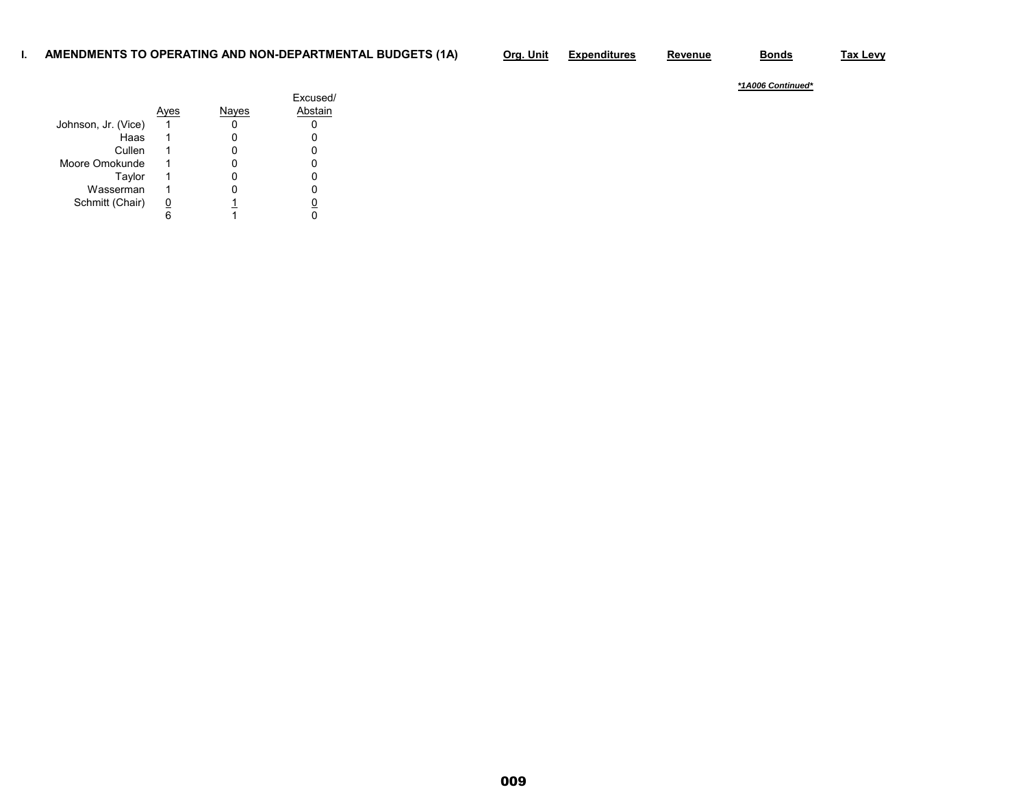### **I. AMENDMENTS TO OPERATING AND NON-DEPARTMENTAL BUDGETS (1A) Org. Unit Expenditures Revenue Bonds Tax Levy**

|                     |      |       | Excused/ |
|---------------------|------|-------|----------|
|                     | Aves | Nayes | Abstain  |
| Johnson, Jr. (Vice) |      |       |          |
| Haas                |      |       |          |
| Cullen              |      |       |          |
| Moore Omokunde      |      |       |          |
| Taylor              | 1    |       |          |
| Wasserman           |      |       |          |
| Schmitt (Chair)     |      |       |          |
|                     |      |       |          |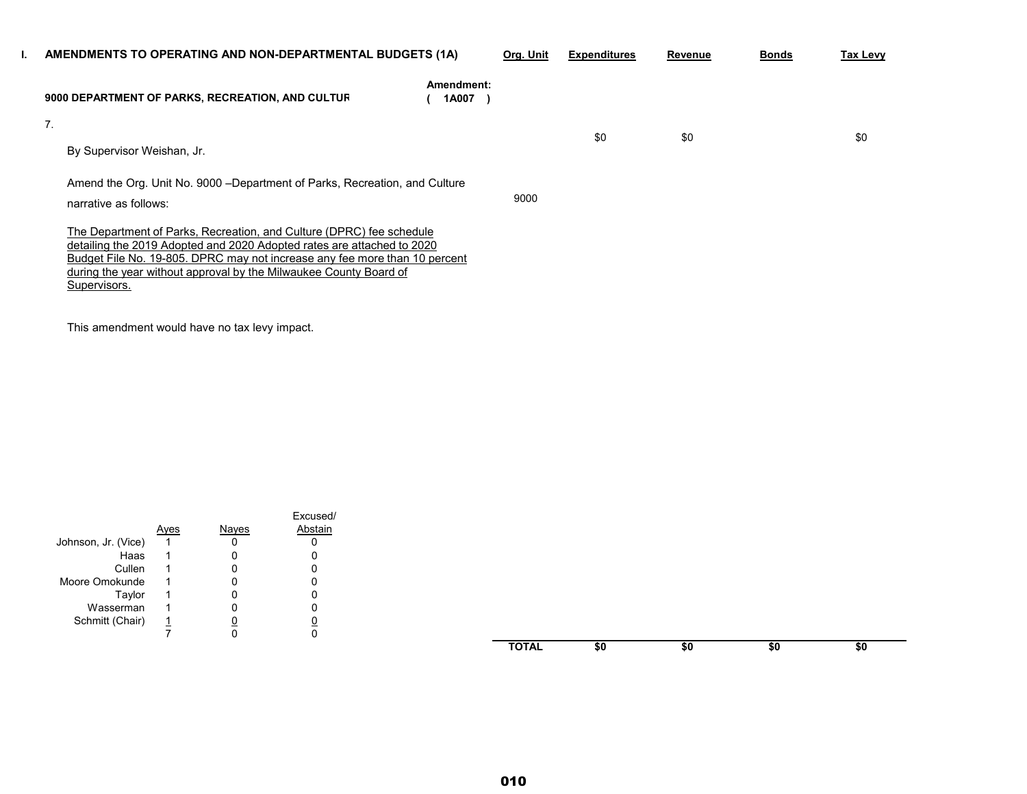| AMENDMENTS TO OPERATING AND NON-DEPARTMENTAL BUDGETS (1A)                                                                                                                                                                                                                                                         | Org. Unit | <b>Expenditures</b> | Revenue | <b>Bonds</b> | Tax Levy |
|-------------------------------------------------------------------------------------------------------------------------------------------------------------------------------------------------------------------------------------------------------------------------------------------------------------------|-----------|---------------------|---------|--------------|----------|
| Amendment:<br>1A007<br>9000 DEPARTMENT OF PARKS, RECREATION, AND CULTUR                                                                                                                                                                                                                                           |           |                     |         |              |          |
| 7.<br>By Supervisor Weishan, Jr.                                                                                                                                                                                                                                                                                  |           | \$0                 | \$0     |              | \$0      |
| Amend the Org. Unit No. 9000 - Department of Parks, Recreation, and Culture<br>narrative as follows:                                                                                                                                                                                                              | 9000      |                     |         |              |          |
| The Department of Parks, Recreation, and Culture (DPRC) fee schedule<br>detailing the 2019 Adopted and 2020 Adopted rates are attached to 2020<br>Budget File No. 19-805. DPRC may not increase any fee more than 10 percent<br>during the year without approval by the Milwaukee County Board of<br>Supervisors. |           |                     |         |              |          |

This amendment would have no tax levy impact.

|                     |      |       | Excused/ |
|---------------------|------|-------|----------|
|                     | Ayes | Nayes | Abstain  |
| Johnson, Jr. (Vice) |      |       |          |
| Haas                |      |       |          |
| Cullen              |      |       |          |
| Moore Omokunde      |      |       |          |
| Taylor              |      |       |          |
| Wasserman           |      |       |          |
| Schmitt (Chair)     |      |       |          |
|                     |      |       |          |

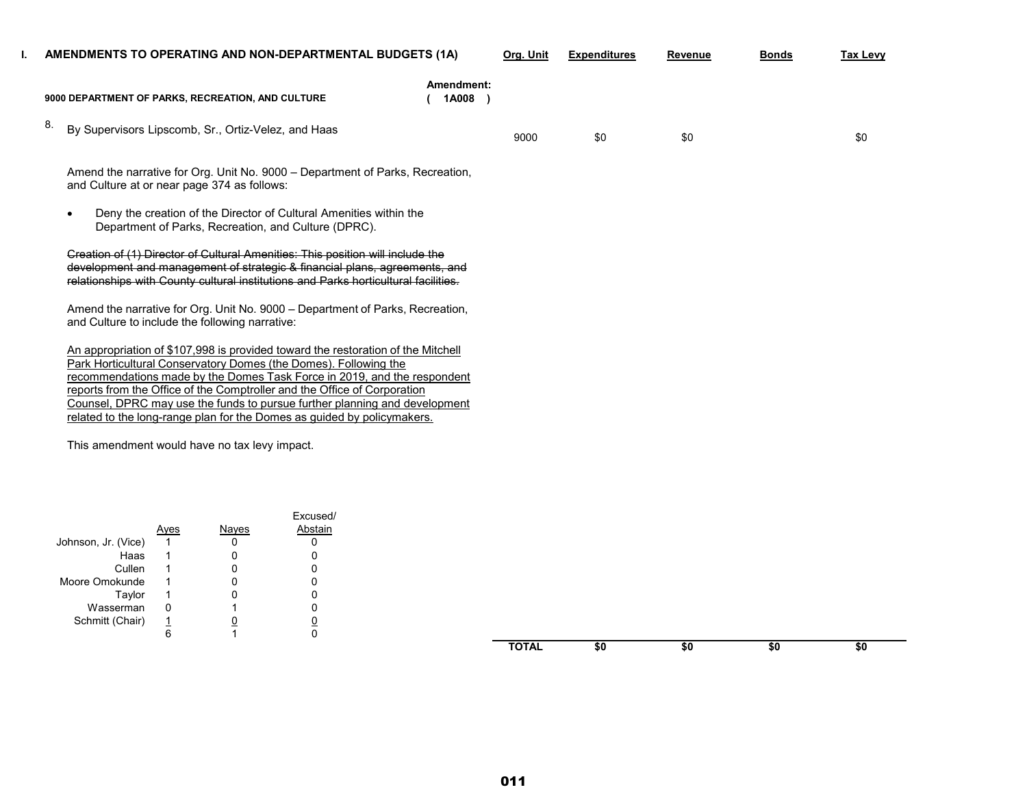|    | AMENDMENTS TO OPERATING AND NON-DEPARTMENTAL BUDGETS (1A)                                                                                                                                                                                                                                                                                                                                                                                                             |                     | Org. Unit | <b>Expenditures</b> | Revenue | <b>Bonds</b> | <b>Tax Levy</b> |
|----|-----------------------------------------------------------------------------------------------------------------------------------------------------------------------------------------------------------------------------------------------------------------------------------------------------------------------------------------------------------------------------------------------------------------------------------------------------------------------|---------------------|-----------|---------------------|---------|--------------|-----------------|
|    | 9000 DEPARTMENT OF PARKS, RECREATION, AND CULTURE                                                                                                                                                                                                                                                                                                                                                                                                                     | Amendment:<br>1A008 |           |                     |         |              |                 |
| 8. | By Supervisors Lipscomb, Sr., Ortiz-Velez, and Haas                                                                                                                                                                                                                                                                                                                                                                                                                   |                     | 9000      | \$0                 | \$0     |              | \$0             |
|    | Amend the narrative for Org. Unit No. 9000 - Department of Parks, Recreation,<br>and Culture at or near page 374 as follows:                                                                                                                                                                                                                                                                                                                                          |                     |           |                     |         |              |                 |
|    | Deny the creation of the Director of Cultural Amenities within the<br>Department of Parks, Recreation, and Culture (DPRC).                                                                                                                                                                                                                                                                                                                                            |                     |           |                     |         |              |                 |
|    | Creation of (1) Director of Cultural Amenities: This position will include the<br>development and management of strategic & financial plans, agreements, and<br>relationships with County cultural institutions and Parks horticultural facilities.                                                                                                                                                                                                                   |                     |           |                     |         |              |                 |
|    | Amend the narrative for Org. Unit No. 9000 – Department of Parks, Recreation,<br>and Culture to include the following narrative:                                                                                                                                                                                                                                                                                                                                      |                     |           |                     |         |              |                 |
|    | An appropriation of \$107.998 is provided toward the restoration of the Mitchell<br>Park Horticultural Conservatory Domes (the Domes). Following the<br>recommendations made by the Domes Task Force in 2019, and the respondent<br>reports from the Office of the Comptroller and the Office of Corporation<br>Counsel, DPRC may use the funds to pursue further planning and development<br>related to the long-range plan for the Domes as guided by policymakers. |                     |           |                     |         |              |                 |
|    | This amendment would have no tax levy impact.                                                                                                                                                                                                                                                                                                                                                                                                                         |                     |           |                     |         |              |                 |

|                     |      |       | Excused/ |  |
|---------------------|------|-------|----------|--|
|                     | Ayes | Nayes | Abstain  |  |
| Johnson, Jr. (Vice) |      |       |          |  |
| Haas                |      |       |          |  |
| Cullen              |      |       |          |  |
| Moore Omokunde      |      |       |          |  |
| Taylor              |      |       |          |  |
| Wasserman           | U    |       |          |  |
| Schmitt (Chair)     | 1    |       |          |  |
|                     | 6    |       |          |  |
|                     |      |       |          |  |

**TOTAL \$0 \$0 \$0 \$0**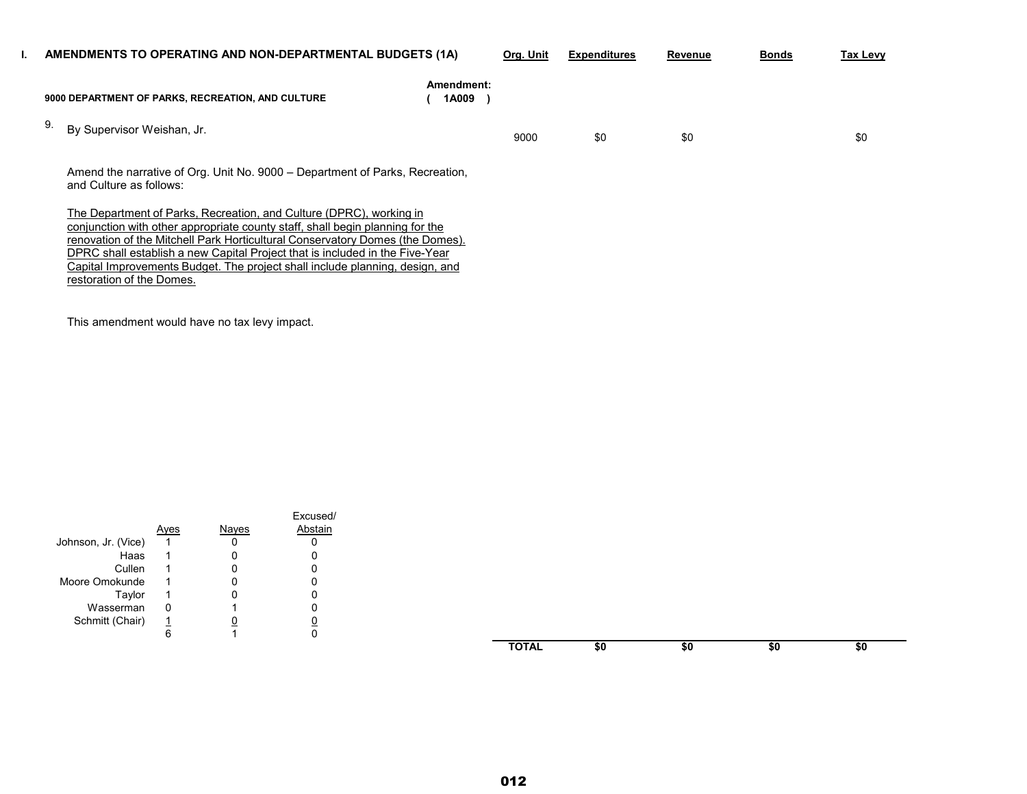|  | AMENDMENTS TO OPERATING AND NON-DEPARTMENTAL BUDGETS (1A)                                                                                                                                                                                                                                                                                                                                                                          |                     | Org. Unit | <b>Expenditures</b> | Revenue | <b>Bonds</b> | Tax Levy |
|--|------------------------------------------------------------------------------------------------------------------------------------------------------------------------------------------------------------------------------------------------------------------------------------------------------------------------------------------------------------------------------------------------------------------------------------|---------------------|-----------|---------------------|---------|--------------|----------|
|  | 9000 DEPARTMENT OF PARKS, RECREATION, AND CULTURE                                                                                                                                                                                                                                                                                                                                                                                  | Amendment:<br>1A009 |           |                     |         |              |          |
|  | By Supervisor Weishan, Jr.                                                                                                                                                                                                                                                                                                                                                                                                         |                     | 9000      | \$0                 | \$0     |              | \$0      |
|  | Amend the narrative of Org. Unit No. 9000 – Department of Parks, Recreation,<br>and Culture as follows:                                                                                                                                                                                                                                                                                                                            |                     |           |                     |         |              |          |
|  | The Department of Parks, Recreation, and Culture (DPRC), working in<br>conjunction with other appropriate county staff, shall begin planning for the<br>renovation of the Mitchell Park Horticultural Conservatory Domes (the Domes).<br>DPRC shall establish a new Capital Project that is included in the Five-Year<br>Capital Improvements Budget. The project shall include planning, design, and<br>restoration of the Domes. |                     |           |                     |         |              |          |

This amendment would have no tax levy impact.

|                     |     |       | Excused/ |
|---------------------|-----|-------|----------|
|                     | ves | Nayes | Abstain  |
| Johnson, Jr. (Vice) |     |       |          |
| Haas                |     |       |          |
| Cullen              |     |       |          |
| Moore Omokunde      |     |       |          |
| Taylor              |     |       |          |
| Wasserman           | ი   |       |          |
| Schmitt (Chair)     | 1   |       |          |
|                     |     |       |          |

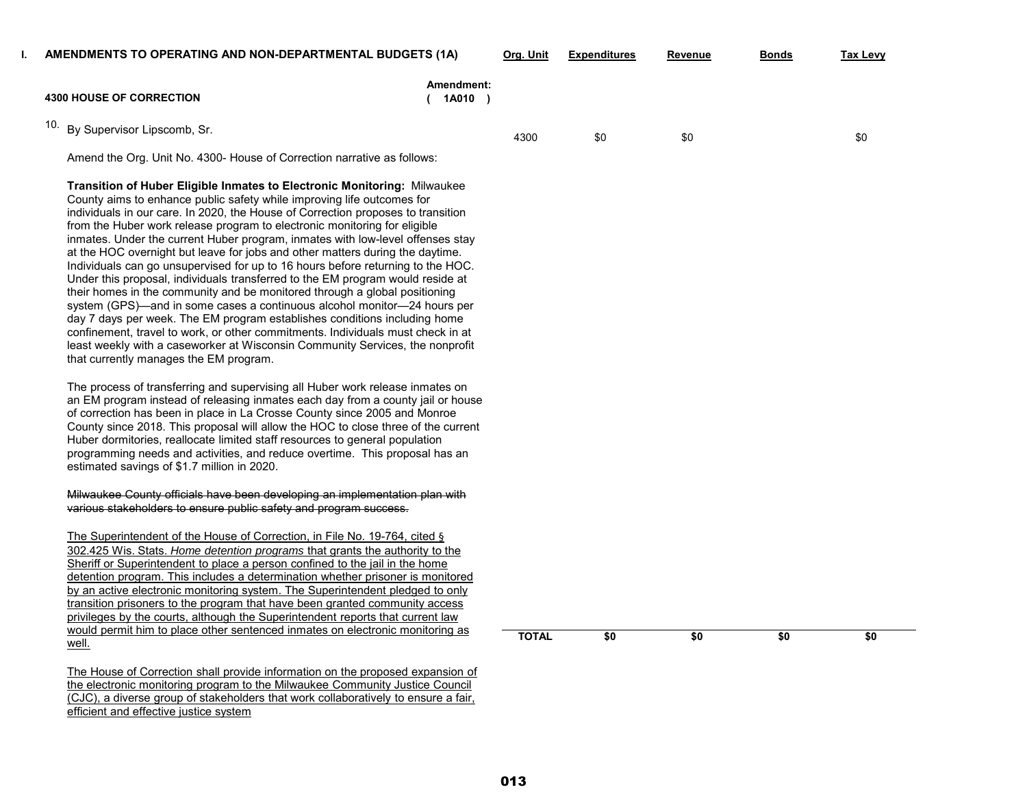| AMENDMENTS TO OPERATING AND NON-DEPARTMENTAL BUDGETS (1A)                                                                                                                                                                                                                                                                                                                                                                                                                                                                                                                                                                                                                                                                                                                                                                                                                                                                                                                                                                                                                                                               |                         | Org. Unit    | <b>Expenditures</b> | Revenue | Bonds | Tax Levy |
|-------------------------------------------------------------------------------------------------------------------------------------------------------------------------------------------------------------------------------------------------------------------------------------------------------------------------------------------------------------------------------------------------------------------------------------------------------------------------------------------------------------------------------------------------------------------------------------------------------------------------------------------------------------------------------------------------------------------------------------------------------------------------------------------------------------------------------------------------------------------------------------------------------------------------------------------------------------------------------------------------------------------------------------------------------------------------------------------------------------------------|-------------------------|--------------|---------------------|---------|-------|----------|
| <b>4300 HOUSE OF CORRECTION</b>                                                                                                                                                                                                                                                                                                                                                                                                                                                                                                                                                                                                                                                                                                                                                                                                                                                                                                                                                                                                                                                                                         | Amendment:<br>$1A010$ ) |              |                     |         |       |          |
| By Supervisor Lipscomb, Sr.                                                                                                                                                                                                                                                                                                                                                                                                                                                                                                                                                                                                                                                                                                                                                                                                                                                                                                                                                                                                                                                                                             |                         | 4300         | \$0                 | \$0     |       | \$0      |
| Amend the Org. Unit No. 4300- House of Correction narrative as follows:                                                                                                                                                                                                                                                                                                                                                                                                                                                                                                                                                                                                                                                                                                                                                                                                                                                                                                                                                                                                                                                 |                         |              |                     |         |       |          |
| <b>Transition of Huber Eligible Inmates to Electronic Monitoring: Milwaukee</b><br>County aims to enhance public safety while improving life outcomes for<br>individuals in our care. In 2020, the House of Correction proposes to transition<br>from the Huber work release program to electronic monitoring for eligible<br>inmates. Under the current Huber program, inmates with low-level offenses stay<br>at the HOC overnight but leave for jobs and other matters during the daytime.<br>Individuals can go unsupervised for up to 16 hours before returning to the HOC.<br>Under this proposal, individuals transferred to the EM program would reside at<br>their homes in the community and be monitored through a global positioning<br>system (GPS)—and in some cases a continuous alcohol monitor—24 hours per<br>day 7 days per week. The EM program establishes conditions including home<br>confinement, travel to work, or other commitments. Individuals must check in at<br>least weekly with a caseworker at Wisconsin Community Services, the nonprofit<br>that currently manages the EM program. |                         |              |                     |         |       |          |
| The process of transferring and supervising all Huber work release inmates on<br>an EM program instead of releasing inmates each day from a county jail or house<br>of correction has been in place in La Crosse County since 2005 and Monroe<br>County since 2018. This proposal will allow the HOC to close three of the current<br>Huber dormitories, reallocate limited staff resources to general population<br>programming needs and activities, and reduce overtime. This proposal has an<br>estimated savings of \$1.7 million in 2020.                                                                                                                                                                                                                                                                                                                                                                                                                                                                                                                                                                         |                         |              |                     |         |       |          |
| Milwaukee County officials have been developing an implementation plan with<br>various stakeholders to ensure public safety and program success.                                                                                                                                                                                                                                                                                                                                                                                                                                                                                                                                                                                                                                                                                                                                                                                                                                                                                                                                                                        |                         |              |                     |         |       |          |
| The Superintendent of the House of Correction, in File No. 19-764, cited §<br>302.425 Wis. Stats. Home detention programs that grants the authority to the<br>Sheriff or Superintendent to place a person confined to the jail in the home<br>detention program. This includes a determination whether prisoner is monitored<br>by an active electronic monitoring system. The Superintendent pledged to only<br>transition prisoners to the program that have been granted community access<br>privileges by the courts, although the Superintendent reports that current law<br>would permit him to place other sentenced inmates on electronic monitoring as                                                                                                                                                                                                                                                                                                                                                                                                                                                         |                         |              |                     |         |       |          |
|                                                                                                                                                                                                                                                                                                                                                                                                                                                                                                                                                                                                                                                                                                                                                                                                                                                                                                                                                                                                                                                                                                                         |                         | <b>TOTAL</b> | \$0                 | \$0     | \$0   | \$0      |

efficient and effective justice system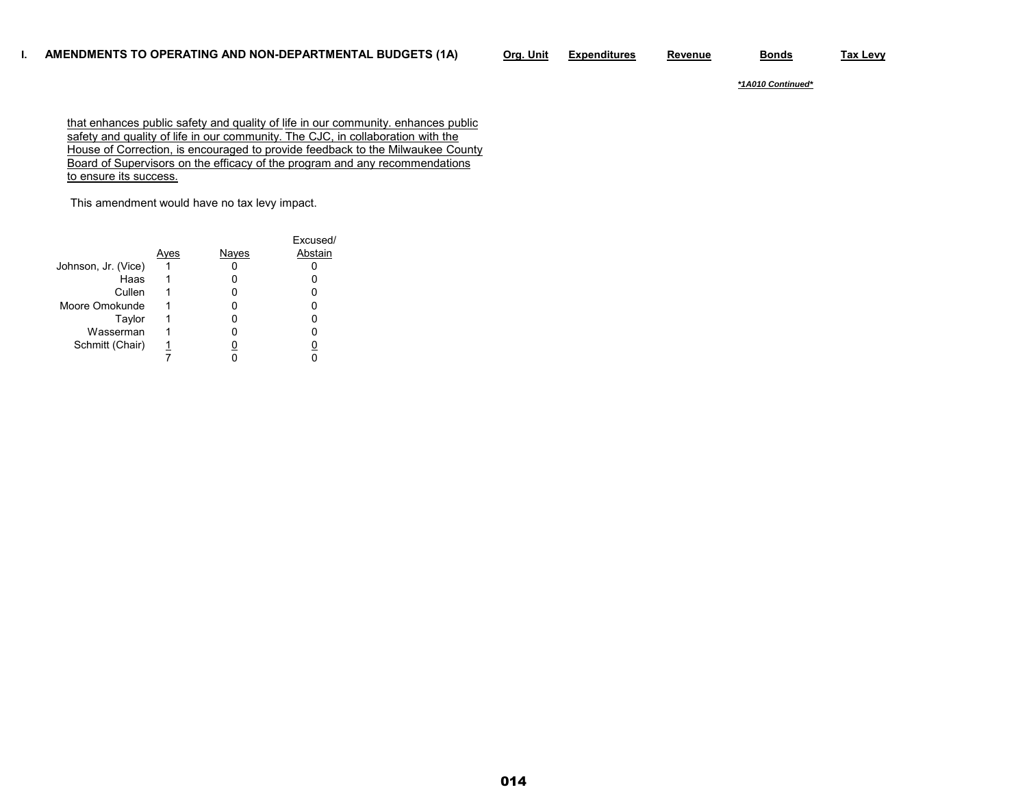*\*1A010 Continued\**

that enhances public safety and quality of life in our community. enhances public safety and quality of life in our community. The CJC, in collaboration with the House of Correction, is encouraged to provide feedback to the Milwaukee County Board of Supervisors on the efficacy of the program and any recommendations to ensure its success.

This amendment would have no tax levy impact.

|                     |      |       | Excused/ |
|---------------------|------|-------|----------|
|                     | Ayes | Nayes | Abstain  |
| Johnson, Jr. (Vice) |      |       |          |
| Haas                |      |       |          |
| Cullen              |      |       |          |
| Moore Omokunde      |      |       |          |
| Taylor              |      |       |          |
| Wasserman           |      |       |          |
| Schmitt (Chair)     |      |       |          |
|                     |      |       |          |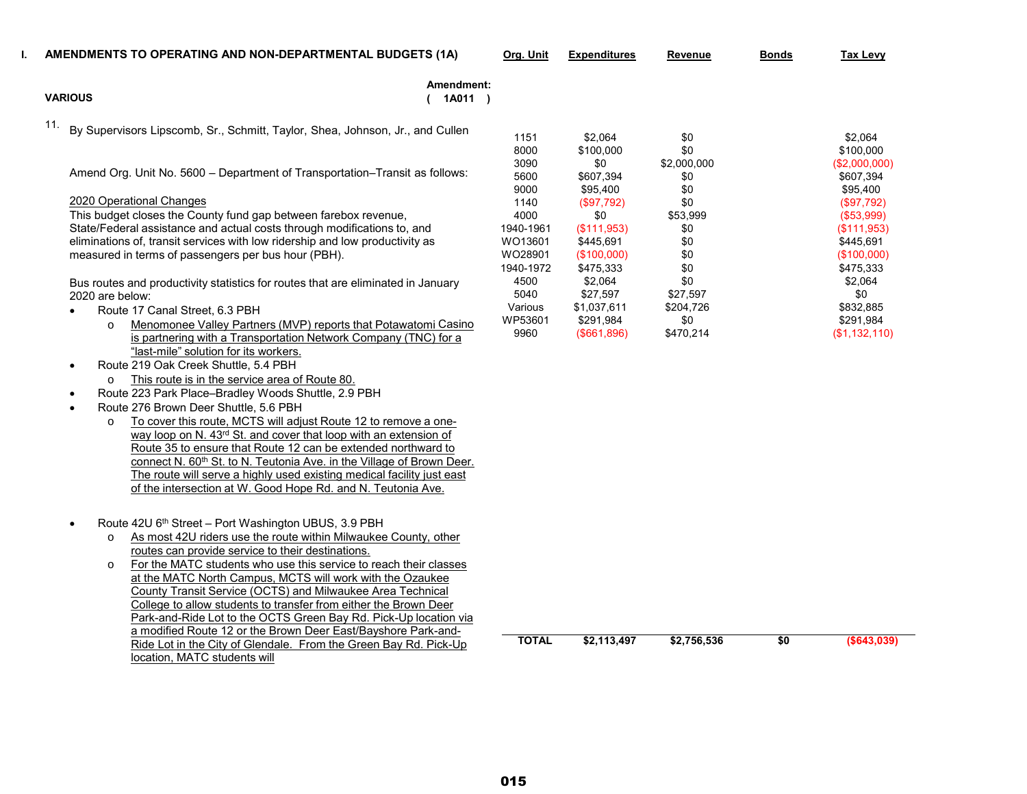| Т. | AMENDMENTS TO OPERATING AND NON-DEPARTMENTAL BUDGETS (1A)                            | Org. Unit            | <b>Expenditures</b>          | Revenue                   | <b>Bonds</b> | <b>Tax Levy</b>                        |
|----|--------------------------------------------------------------------------------------|----------------------|------------------------------|---------------------------|--------------|----------------------------------------|
|    | Amendment:<br><b>VARIOUS</b><br>(1A011)                                              |                      |                              |                           |              |                                        |
|    |                                                                                      |                      |                              |                           |              |                                        |
|    | 11.<br>By Supervisors Lipscomb, Sr., Schmitt, Taylor, Shea, Johnson, Jr., and Cullen | 1151<br>8000         | \$2,064<br>\$100,000         | \$0<br>\$0                |              | \$2,064<br>\$100,000                   |
|    | Amend Org. Unit No. 5600 - Department of Transportation-Transit as follows:          | 3090<br>5600<br>9000 | \$0<br>\$607,394<br>\$95,400 | \$2,000,000<br>\$0<br>\$0 |              | (\$2,000,000)<br>\$607,394<br>\$95,400 |
|    | 2020 Operational Changes                                                             | 1140                 | (\$97,792)                   | \$0                       |              | (\$97,792)                             |
|    | This budget closes the County fund gap between farebox revenue,                      | 4000                 | \$0                          | \$53,999                  |              | (\$53,999)                             |
|    | State/Federal assistance and actual costs through modifications to, and              | 1940-1961            | (\$111,953)                  | \$0                       |              | (\$111,953)                            |
|    | eliminations of, transit services with low ridership and low productivity as         | WO13601<br>WO28901   | \$445,691                    | \$0<br>\$0                |              | \$445,691                              |
|    | measured in terms of passengers per bus hour (PBH).                                  | 1940-1972            | (\$100,000)<br>\$475,333     | \$0                       |              | (\$100,000)<br>\$475,333               |
|    | Bus routes and productivity statistics for routes that are eliminated in January     | 4500                 | \$2,064                      | \$0                       |              | \$2,064                                |
|    | 2020 are below:                                                                      | 5040                 | \$27,597                     | \$27,597                  |              | \$0                                    |
|    | Route 17 Canal Street, 6.3 PBH                                                       | Various              | \$1,037,611                  | \$204,726                 |              | \$832,885                              |
|    | Menomonee Valley Partners (MVP) reports that Potawatomi Casino<br>$\circ$            | WP53601              | \$291,984                    | \$0                       |              | \$291,984                              |
|    | is partnering with a Transportation Network Company (TNC) for a                      | 9960                 | (\$661,896)                  | \$470,214                 |              | (\$1,132,110)                          |
|    | "last-mile" solution for its workers.                                                |                      |                              |                           |              |                                        |
|    | Route 219 Oak Creek Shuttle, 5.4 PBH<br>$\bullet$                                    |                      |                              |                           |              |                                        |
|    | This route is in the service area of Route 80.                                       |                      |                              |                           |              |                                        |
|    | Route 223 Park Place-Bradley Woods Shuttle, 2.9 PBH<br>$\bullet$                     |                      |                              |                           |              |                                        |
|    | Route 276 Brown Deer Shuttle, 5.6 PBH<br>$\bullet$                                   |                      |                              |                           |              |                                        |
|    | To cover this route, MCTS will adjust Route 12 to remove a one-<br>$\Omega$          |                      |                              |                           |              |                                        |
|    | way loop on N. 43rd St. and cover that loop with an extension of                     |                      |                              |                           |              |                                        |
|    | Route 35 to ensure that Route 12 can be extended northward to                        |                      |                              |                           |              |                                        |
|    | connect N. 60 <sup>th</sup> St. to N. Teutonia Ave. in the Village of Brown Deer.    |                      |                              |                           |              |                                        |
|    | The route will serve a highly used existing medical facility just east               |                      |                              |                           |              |                                        |
|    | of the intersection at W. Good Hope Rd. and N. Teutonia Ave.                         |                      |                              |                           |              |                                        |
|    |                                                                                      |                      |                              |                           |              |                                        |
|    | Route 42U 6th Street - Port Washington UBUS, 3.9 PBH<br>$\bullet$                    |                      |                              |                           |              |                                        |
|    | As most 42U riders use the route within Milwaukee County, other<br>$\circ$           |                      |                              |                           |              |                                        |
|    | routes can provide service to their destinations.                                    |                      |                              |                           |              |                                        |
|    | For the MATC students who use this service to reach their classes<br>$\circ$         |                      |                              |                           |              |                                        |
|    | at the MATC North Campus, MCTS will work with the Ozaukee                            |                      |                              |                           |              |                                        |
|    | County Transit Service (OCTS) and Milwaukee Area Technical                           |                      |                              |                           |              |                                        |

College to allow students to transfer from either the Brown Deer Park-and-Ride Lot to the OCTS Green Bay Rd. Pick-Up location via a modified Route 12 or the Brown Deer East/Bayshore Park-and-Ride Lot in the City of Glendale. From the Green Bay Rd. Pick-Up

location, MATC students will

015

**TOTAL \$2,113,497 \$2,756,536 \$0 (\$643,039)**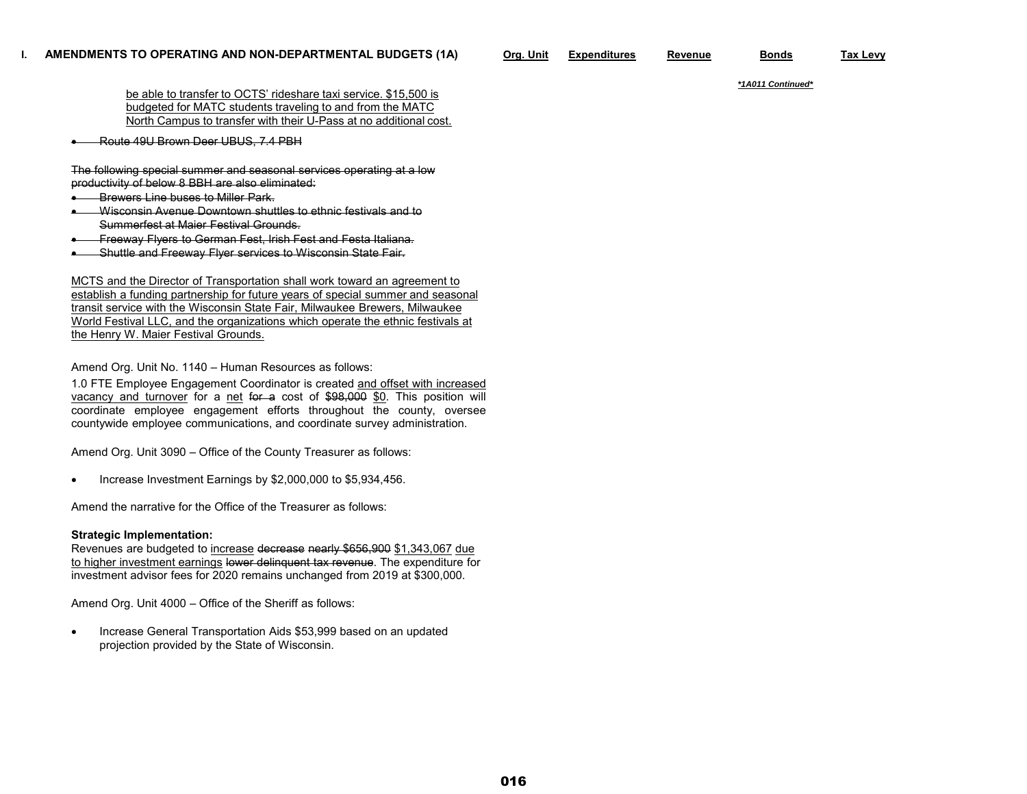*\*1A011 Continued\**

be able to transfer to OCTS' rideshare taxi service. \$15,500 is budgeted for MATC students traveling to and from the MATC North Campus to transfer with their U-Pass at no additional cost.

0 Route 49U Brown Deer UBUS, 7.4 PBH

The following special summer and seasonal services operating at a low productivity of below 8 BBH are also eliminated:

- Brewers Line buses to Miller Park.
- 0 Wisconsin Avenue Downtown shuttles to ethnic festivals and toSummerfest at Maier Festival Grounds.
- Freeway Flyers to German Fest, Irish Fest and Festa Italiana.
- ٠ Shuttle and Freeway Flyer services to Wisconsin State Fair.

MCTS and the Director of Transportation shall work toward an agreement to establish a funding partnership for future years of special summer and seasonal transit service with the Wisconsin State Fair, Milwaukee Brewers, Milwaukee World Festival LLC, and the organizations which operate the ethnic festivals at the Henry W. Maier Festival Grounds.

Amend Org. Unit No. 1140 – Human Resources as follows:

1.0 FTE Employee Engagement Coordinator is created and offset with increased vacancy and turnover for a net for a cost of \$98,000 \$0. This position will coordinate employee engagement efforts throughout the county, oversee countywide employee communications, and coordinate survey administration.

Amend Org. Unit 3090 – Office of the County Treasurer as follows:

. Increase Investment Earnings by \$2,000,000 to \$5,934,456.

Amend the narrative for the Office of the Treasurer as follows:

### **Strategic Implementation:**

Revenues are budgeted to increase decrease nearly \$656,900 \$1,343,067 due to higher investment earnings lower delinquent tax revenue. The expenditure for investment advisor fees for 2020 remains unchanged from 2019 at \$300,000.

Amend Org. Unit 4000 – Office of the Sheriff as follows:

 $\bullet$  Increase General Transportation Aids \$53,999 based on an updated projection provided by the State of Wisconsin.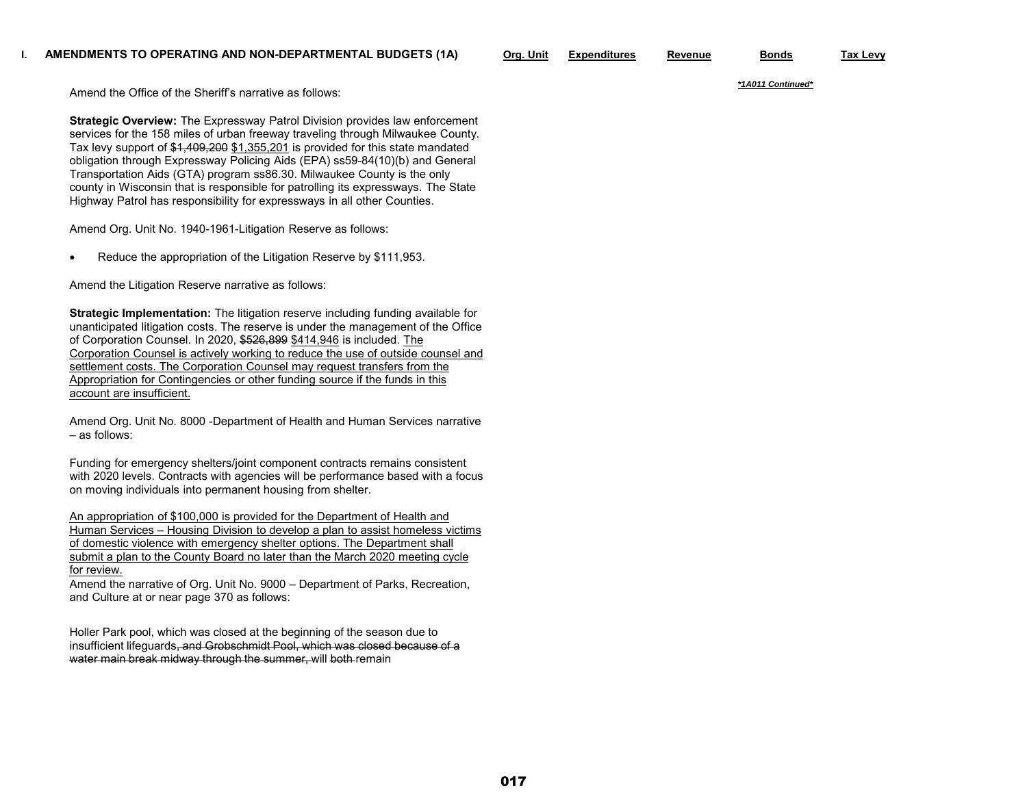Amend the Office of the Sheriff's narrative as follows:

**Strategic Overview:** The Expressway Patrol Division provides law enforcement services for the 158 miles of urban freeway traveling through Milwaukee County. Tax levy support of \$1,409,200 \$1,355,201 is provided for this state mandated obligation through Expressway Policing Aids (EPA) ss59-84(10)(b) and General Transportation Aids (GTA) program ss86.30. Milwaukee County is the only county in Wisconsin that is responsible for patrolling its expressways. The State Highway Patrol has responsibility for expressways in all other Counties.

Amend Org. Unit No. 1940-1961-Litigation Reserve as follows:

e Reduce the appropriation of the Litigation Reserve by \$111,953.

Amend the Litigation Reserve narrative as follows:

**Strategic Implementation:** The litigation reserve including funding available for unanticipated litigation costs. The reserve is under the management of the Office of Corporation Counsel. In 2020, \$526,899 \$414,946 is included. The Corporation Counsel is actively working to reduce the use of outside counsel and settlement costs. The Corporation Counsel may request transfers from the Appropriation for Contingencies or other funding source if the funds in this account are insufficient.

Amend Org. Unit No. 8000 -Department of Health and Human Services narrative – as follows:

Funding for emergency shelters/joint component contracts remains consistent with 2020 levels. Contracts with agencies will be performance based with a focus on moving individuals into permanent housing from shelter.

An appropriation of \$100,000 is provided for the Department of Health and Human Services – Housing Division to develop a plan to assist homeless victims of domestic violence with emergency shelter options. The Department shall submit a plan to the County Board no later than the March 2020 meeting cycle for review.

Amend the narrative of Org. Unit No. 9000 – Department of Parks, Recreation, and Culture at or near page 370 as follows:

Holler Park pool, which was closed at the beginning of the season due to insufficient lifeguards, and Grobschmidt Pool, which was closed because of a water main break midway through the summer, will both remain

017

*\*1A011 Continued\**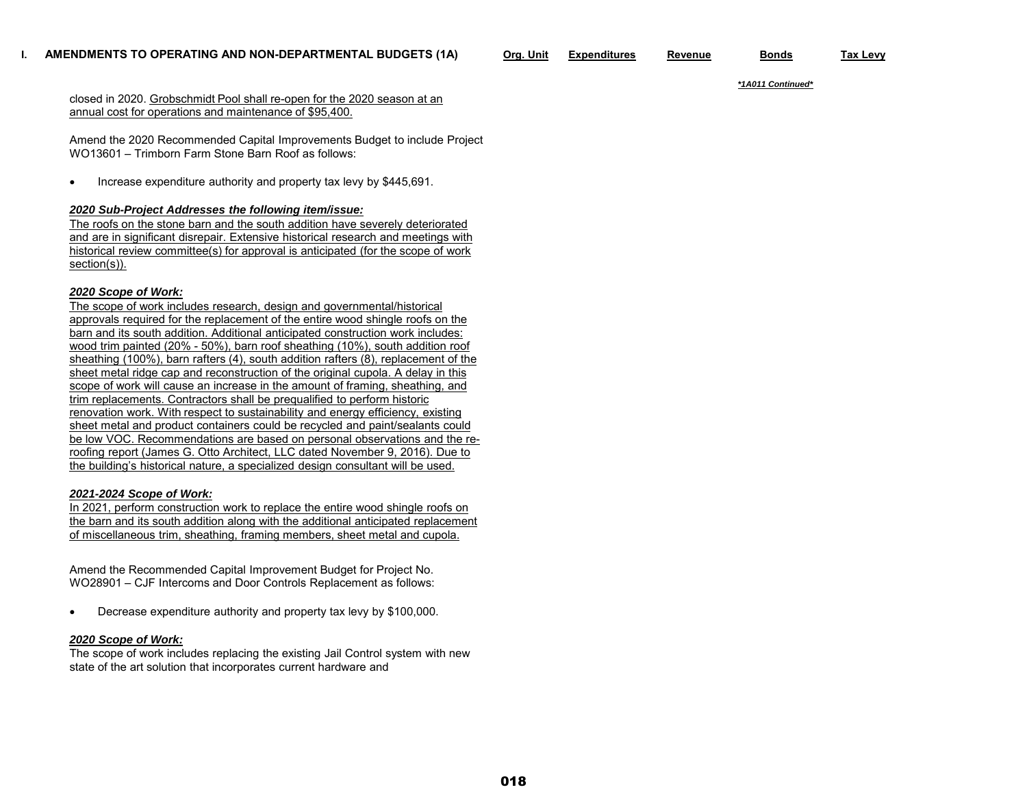#### **I.AMENDMENTS TO OPERATING AND NON-DEPARTMENTAL BUDGETS (1A) Org. Unit Expenditures Revenue Bonds Tax Levy**

*\*1A011 Continued\**

closed in 2020. Grobschmidt Pool shall re-open for the 2020 season at an annual cost for operations and maintenance of \$95,400.

Amend the 2020 Recommended Capital Improvements Budget to include Project WO13601 – Trimborn Farm Stone Barn Roof as follows:

 $\bullet$ Increase expenditure authority and property tax levy by \$445,691.

## *2020 Sub-Project Addresses the following item/issue:*

The roofs on the stone barn and the south addition have severely deteriorated and are in significant disrepair. Extensive historical research and meetings with historical review committee(s) for approval is anticipated (for the scope of work section(s)).

## *2020 Scope of Work:*

The scope of work includes research, design and governmental/historical approvals required for the replacement of the entire wood shingle roofs on the barn and its south addition. Additional anticipated construction work includes: wood trim painted (20% - 50%), barn roof sheathing (10%), south addition roof sheathing (100%), barn rafters (4), south addition rafters (8), replacement of the sheet metal ridge cap and reconstruction of the original cupola. A delay in this scope of work will cause an increase in the amount of framing, sheathing, and trim replacements. Contractors shall be prequalified to perform historic renovation work. With respect to sustainability and energy efficiency, existing sheet metal and product containers could be recycled and paint/sealants could be low VOC. Recommendations are based on personal observations and the reroofing report (James G. Otto Architect, LLC dated November 9, 2016). Due to the building's historical nature, a specialized design consultant will be used.

## *2021-2024 Scope of Work:*

In 2021, perform construction work to replace the entire wood shingle roofs on the barn and its south addition along with the additional anticipated replacement of miscellaneous trim, sheathing, framing members, sheet metal and cupola.

Amend the Recommended Capital Improvement Budget for Project No. WO28901 – CJF Intercoms and Door Controls Replacement as follows:

 $\bullet$ Decrease expenditure authority and property tax levy by \$100,000.

## *2020 Scope of Work:*

The scope of work includes replacing the existing Jail Control system with new state of the art solution that incorporates current hardware and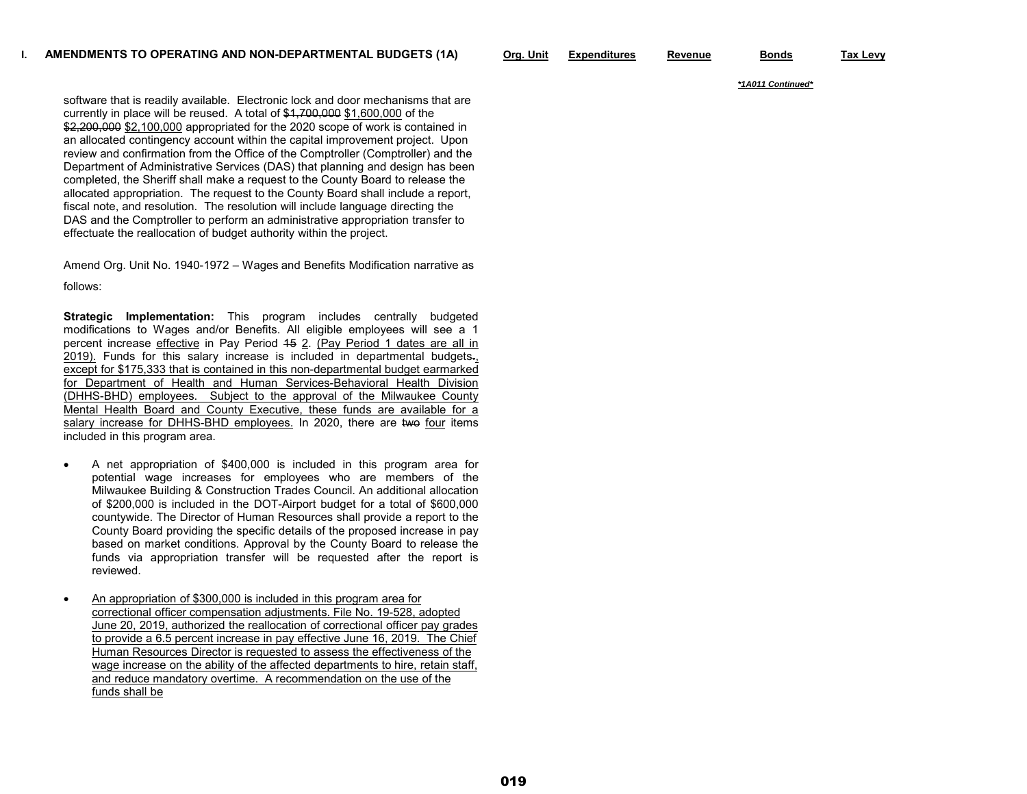software that is readily available. Electronic lock and door mechanisms that are currently in place will be reused. A total of \$1,700,000 \$1,600,000 of the \$2,200,000 \$2,100,000 appropriated for the 2020 scope of work is contained in an allocated contingency account within the capital improvement project. Upon review and confirmation from the Office of the Comptroller (Comptroller) and the Department of Administrative Services (DAS) that planning and design has been completed, the Sheriff shall make a request to the County Board to release the allocated appropriation. The request to the County Board shall include a report, fiscal note, and resolution. The resolution will include language directing the DAS and the Comptroller to perform an administrative appropriation transfer to effectuate the reallocation of budget authority within the project.

Amend Org. Unit No. 1940-1972 – Wages and Benefits Modification narrative as

### follows:

**Strategic Implementation:** This program includes centrally budgeted modifications to Wages and/or Benefits. All eligible employees will see <sup>a</sup> 1 percent increase effective in Pay Period 15 2. (Pay Period 1 dates are all in 2019). Funds for this salary increase is included in departmental budgets., except for \$175,333 that is contained in this non-departmental budget earmarked for Department of Health and Human Services-Behavioral Health Division (DHHS-BHD) employees. Subject to the approval of the Milwaukee County Mental Health Board and County Executive, these funds are available for <sup>a</sup> salary increase for DHHS-BHD employees. In 2020, there are two four items included in this program area.

- 0 A net appropriation of \$400,000 is included in this program area for potential wage increases for employees who are members of the Milwaukee Building & Construction Trades Council. An additional allocation of \$200,000 is included in the DOT-Airport budget for <sup>a</sup> total of \$600,000 countywide. The Director of Human Resources shall provide <sup>a</sup> report to the County Board providing the specific details of the proposed increase in pay based on market conditions. Approval by the County Board to release the funds via appropriation transfer will be requested after the report is reviewed.
- 0 An appropriation of \$300,000 is included in this program area for correctional officer compensation adjustments. File No. 19-528, adopted June 20, 2019, authorized the reallocation of correctional officer pay grades to provide a 6.5 percent increase in pay effective June 16, 2019. The Chief Human Resources Director is requested to assess the effectiveness of the wage increase on the ability of the affected departments to hire, retain staff, and reduce mandatory overtime. A recommendation on the use of the funds shall be

*\*1A011 Continued\**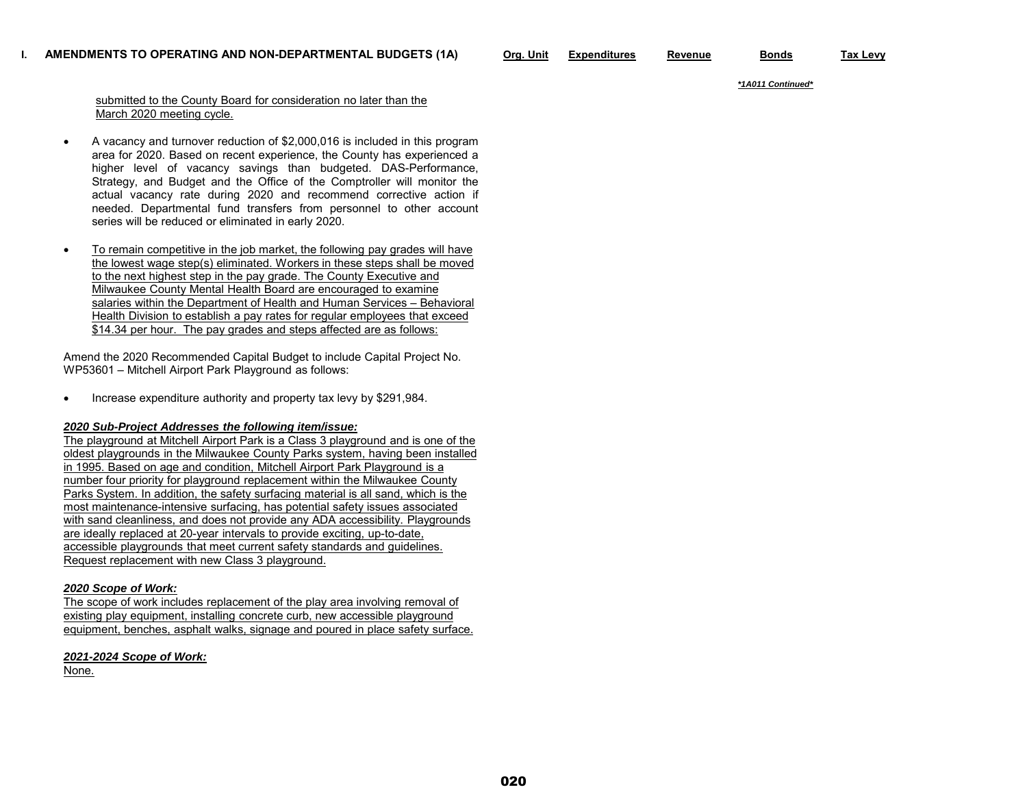*\*1A011 Continued\**

## submitted to the County Board for consideration no later than the March 2020 meeting cycle.

- 0 A vacancy and turnover reduction of \$2,000,016 is included in this program area for 2020. Based on recent experience, the County has experienced <sup>a</sup> higher level of vacancy savings than budgeted. DAS-Performance, Strategy, and Budget and the Office of the Comptroller will monitor the actual vacancy rate during 2020 and recommend corrective action if needed. Departmental fund transfers from personnel to other account series will be reduced or eliminated in early 2020.
- $\bullet$  To remain competitive in the job market, the following pay grades will have the lowest wage step(s) eliminated. Workers in these steps shall be moved to the next highest step in the pay grade. The County Executive and Milwaukee County Mental Health Board are encouraged to examine salaries within the Department of Health and Human Services – Behavioral Health Division to establish a pay rates for regular employees that exceed \$14.34 per hour. The pay grades and steps affected are as follows:

Amend the 2020 Recommended Capital Budget to include Capital Project No. WP53601 – Mitchell Airport Park Playground as follows:

0 Increase expenditure authority and property tax levy by \$291,984.

## *2020 Sub-Project Addresses the following item/issue:*

The playground at Mitchell Airport Park is a Class 3 playground and is one of the oldest playgrounds in the Milwaukee County Parks system, having been installed in 1995. Based on age and condition, Mitchell Airport Park Playground is a number four priority for playground replacement within the Milwaukee County Parks System. In addition, the safety surfacing material is all sand, which is the most maintenance-intensive surfacing, has potential safety issues associated with sand cleanliness, and does not provide any ADA accessibility. Playgrounds are ideally replaced at 20-year intervals to provide exciting, up-to-date, accessible playgrounds that meet current safety standards and guidelines. Request replacement with new Class 3 playground.

## *2020 Scope of Work:*

The scope of work includes replacement of the play area involving removal of existing play equipment, installing concrete curb, new accessible playground equipment, benches, asphalt walks, signage and poured in place safety surface.

## *2021-2024 Scope of Work:*

None.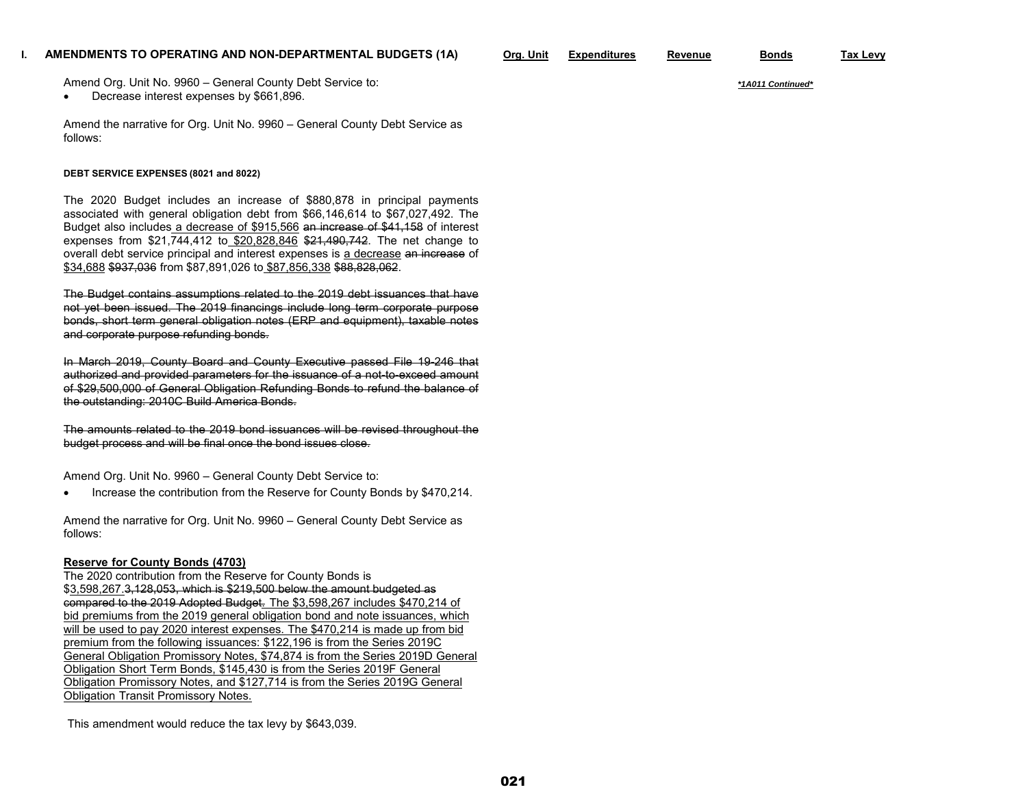#### **I.AMENDMENTS TO OPERATING AND NON-DEPARTMENTAL BUDGETS (1A) Org. Unit Expenditures Revenue Bonds Tax Levy**

Amend Org. Unit No. 9960 – General County Debt Service to: *\*1A011 Continued\** / *\*1A011 Continued\** 

0 Decrease interest expenses by \$661,896.

Amend the narrative for Org. Unit No. 9960 – General County Debt Service as follows:

### **DEBT SERVICE EXPENSES (8021 and 8022)**

The 2020 Budget includes an increase of \$880,878 in principal payments associated with general obligation debt from \$66,146,614 to \$67,027,492. The Budget also includes a decrease of \$915,566 an increase of \$41,158 of interest expenses from \$21,744,412 to \$20,828,846 \$21,490,742. The net change to overall debt service principal and interest expenses is a decrease an increase of \$34,688 \$937,036 from \$87,891,026 to \$87,856,338 \$88,828,062.

The Budget contains assumptions related to the 2019 debt issuances that have not yet been issued. The 2019 financings include long term corporate purpose bonds, short term general obligation notes (ERP and equipment), taxable notes and corporate purpose refunding bonds.

In March 2019, County Board and County Executive passed File 19-246 that authorized and provided parameters for the issuance of <sup>a</sup> not-to-exceed amount of \$29,500,000 of General Obligation Refunding Bonds to refund the balance of the outstanding: 2010C Build America Bonds.

The amounts related to the 2019 bond issuances will be revised throughout the budget process and will be final once the bond issues close.

Amend Org. Unit No. 9960 – General County Debt Service to:

0 Increase the contribution from the Reserve for County Bonds by \$470,214.

Amend the narrative for Org. Unit No. 9960 – General County Debt Service as follows:

## **Reserve for County Bonds (4703)**

The 2020 contribution from the Reserve for County Bonds is \$3,598,267.3,128,053, which is \$219,500 below the amount budgeted as compared to the 2019 Adopted Budget. The \$3,598,267 includes \$470,214 of bid premiums from the 2019 general obligation bond and note issuances, which will be used to pay 2020 interest expenses. The \$470,214 is made up from bid premium from the following issuances: \$122,196 is from the Series 2019C General Obligation Promissory Notes, \$74,874 is from the Series 2019D General Obligation Short Term Bonds, \$145,430 is from the Series 2019F General Obligation Promissory Notes, and \$127,714 is from the Series 2019G General Obligation Transit Promissory Notes.

This amendment would reduce the tax levy by \$643,039.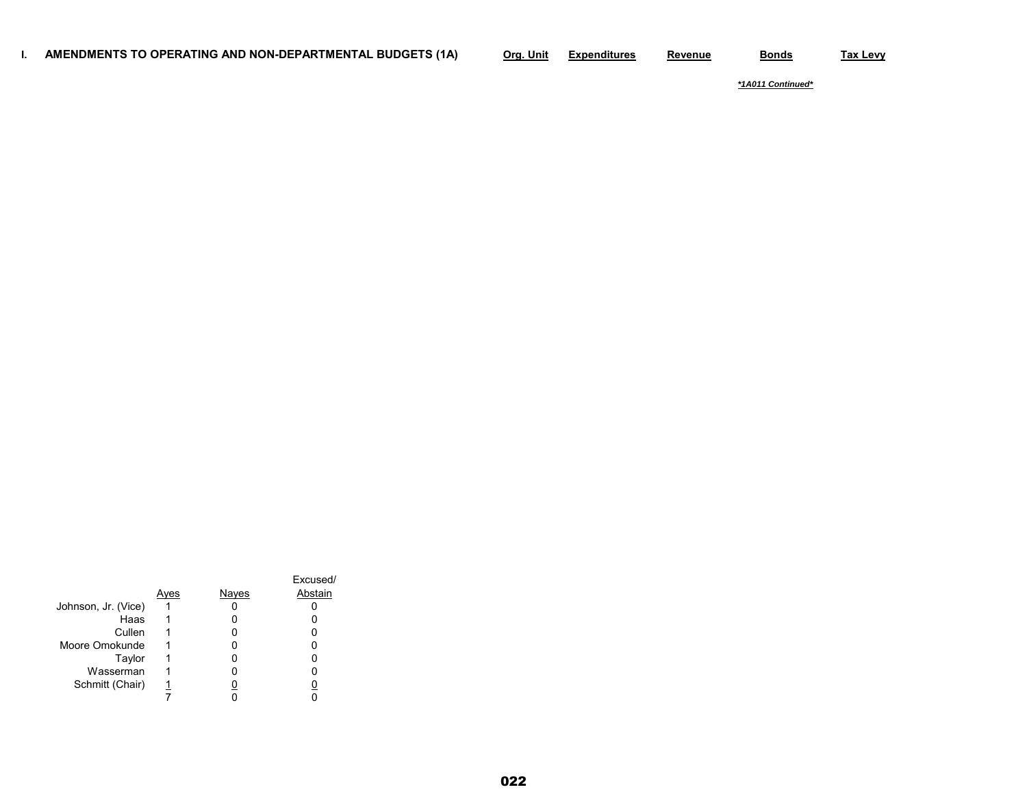*\*1A011 Continued\**

|                     | ves | Nayes | Excused/<br>Abstain |
|---------------------|-----|-------|---------------------|
| Johnson, Jr. (Vice) |     |       |                     |
| Haas                |     |       |                     |
| Cullen              |     |       |                     |
| Moore Omokunde      |     |       |                     |
| Taylor              |     |       |                     |
| Wasserman           |     |       |                     |
| Schmitt (Chair)     |     |       |                     |
|                     |     |       |                     |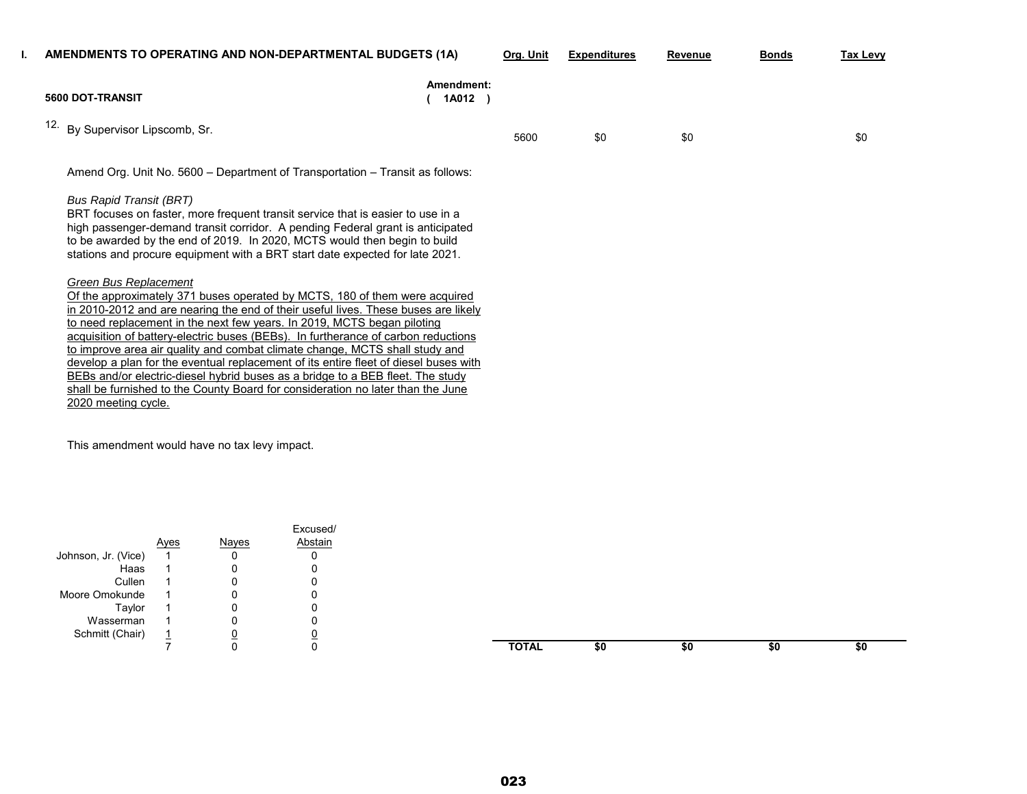| AMENDMENTS TO OPERATING AND NON-DEPARTMENTAL BUDGETS (1A)                                                                                                                                                                                                                                                                                                                                                                                                                                                                                                                                                                                                                                                                    |                       | Org. Unit | <b>Expenditures</b> | Revenue | <b>Bonds</b> | Tax Levy |
|------------------------------------------------------------------------------------------------------------------------------------------------------------------------------------------------------------------------------------------------------------------------------------------------------------------------------------------------------------------------------------------------------------------------------------------------------------------------------------------------------------------------------------------------------------------------------------------------------------------------------------------------------------------------------------------------------------------------------|-----------------------|-----------|---------------------|---------|--------------|----------|
| 5600 DOT-TRANSIT                                                                                                                                                                                                                                                                                                                                                                                                                                                                                                                                                                                                                                                                                                             | Amendment:<br>1A012 ) |           |                     |         |              |          |
| 12.<br>By Supervisor Lipscomb, Sr.                                                                                                                                                                                                                                                                                                                                                                                                                                                                                                                                                                                                                                                                                           |                       | 5600      | \$0                 | \$0     |              | \$0      |
| Amend Org. Unit No. 5600 – Department of Transportation – Transit as follows:                                                                                                                                                                                                                                                                                                                                                                                                                                                                                                                                                                                                                                                |                       |           |                     |         |              |          |
| <b>Bus Rapid Transit (BRT)</b><br>BRT focuses on faster, more frequent transit service that is easier to use in a<br>high passenger-demand transit corridor. A pending Federal grant is anticipated<br>to be awarded by the end of 2019. In 2020, MCTS would then begin to build<br>stations and procure equipment with a BRT start date expected for late 2021.                                                                                                                                                                                                                                                                                                                                                             |                       |           |                     |         |              |          |
| Green Bus Replacement<br>Of the approximately 371 buses operated by MCTS, 180 of them were acquired<br>in 2010-2012 and are nearing the end of their useful lives. These buses are likely<br>to need replacement in the next few years. In 2019, MCTS began piloting<br>acquisition of battery-electric buses (BEBs). In furtherance of carbon reductions<br>to improve area air quality and combat climate change, MCTS shall study and<br>develop a plan for the eventual replacement of its entire fleet of diesel buses with<br>BEBs and/or electric-diesel hybrid buses as a bridge to a BEB fleet. The study<br>shall be furnished to the County Board for consideration no later than the June<br>2020 meeting cycle. |                       |           |                     |         |              |          |
|                                                                                                                                                                                                                                                                                                                                                                                                                                                                                                                                                                                                                                                                                                                              |                       |           |                     |         |              |          |

This amendment would have no tax levy impact.

|                     |     |       | Excused/ |
|---------------------|-----|-------|----------|
|                     | ves | Nayes | Abstain  |
| Johnson, Jr. (Vice) |     |       |          |
| Haas                |     |       |          |
| Cullen              |     |       |          |
| Moore Omokunde      |     |       |          |
| Taylor              |     |       |          |
| Wasserman           |     |       |          |
| Schmitt (Chair)     |     |       |          |
|                     |     |       |          |

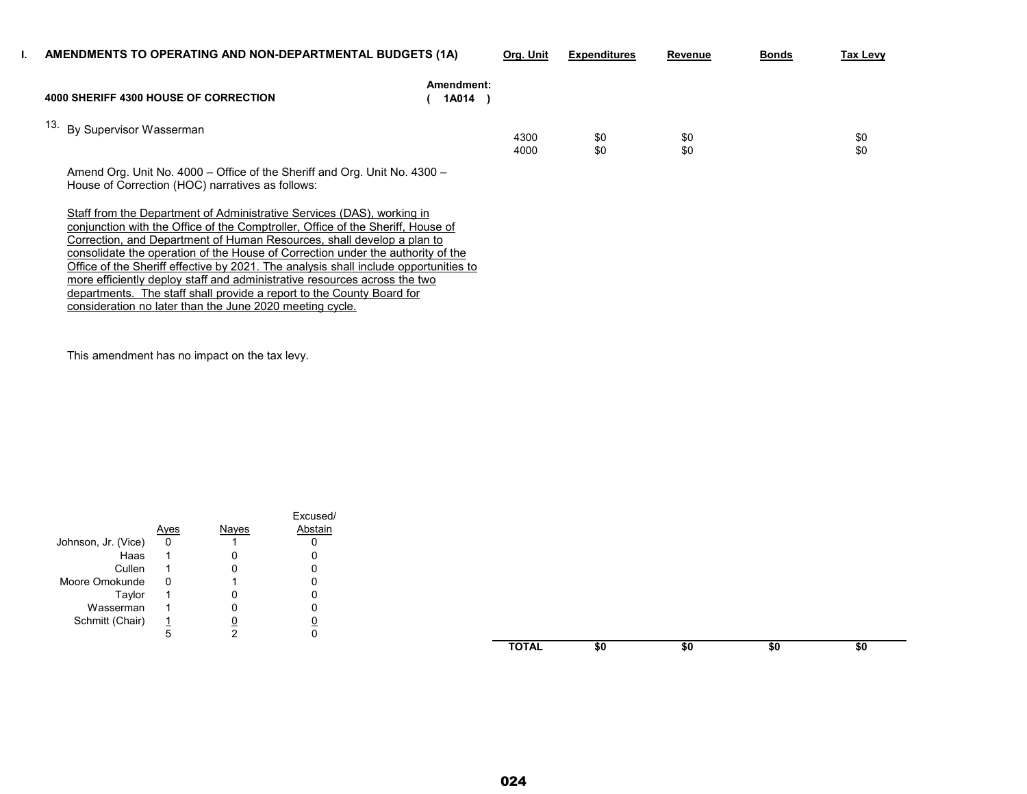| AMENDMENTS TO OPERATING AND NON-DEPARTMENTAL BUDGETS (1A)                                                                                                                                                                                                                                                                                                                                                                                                                                                                                                                                                                        | Org. Unit    | <b>Expenditures</b> | Revenue    | <b>Bonds</b> | <b>Tax Levy</b> |
|----------------------------------------------------------------------------------------------------------------------------------------------------------------------------------------------------------------------------------------------------------------------------------------------------------------------------------------------------------------------------------------------------------------------------------------------------------------------------------------------------------------------------------------------------------------------------------------------------------------------------------|--------------|---------------------|------------|--------------|-----------------|
| 1A014<br>4000 SHERIFF 4300 HOUSE OF CORRECTION                                                                                                                                                                                                                                                                                                                                                                                                                                                                                                                                                                                   |              |                     |            |              |                 |
| By Supervisor Wasserman                                                                                                                                                                                                                                                                                                                                                                                                                                                                                                                                                                                                          | 4300<br>4000 | \$0<br>\$0          | \$0<br>\$0 |              | \$0<br>\$0      |
| Amend Org. Unit No. 4000 – Office of the Sheriff and Org. Unit No. 4300 –<br>House of Correction (HOC) narratives as follows:                                                                                                                                                                                                                                                                                                                                                                                                                                                                                                    |              |                     |            |              |                 |
| Staff from the Department of Administrative Services (DAS), working in<br>conjunction with the Office of the Comptroller. Office of the Sheriff. House of<br>Correction, and Department of Human Resources, shall develop a plan to<br>consolidate the operation of the House of Correction under the authority of the<br>Office of the Sheriff effective by 2021. The analysis shall include opportunities to<br>more efficiently deploy staff and administrative resources across the two<br>departments. The staff shall provide a report to the County Board for<br>consideration no later than the June 2020 meeting cycle. |              |                     |            |              |                 |
|                                                                                                                                                                                                                                                                                                                                                                                                                                                                                                                                                                                                                                  |              | Amendment:          |            |              |                 |

This amendment has no impact on the tax levy.

|                     |     |       | Excused/ |
|---------------------|-----|-------|----------|
|                     | ves | Nayes | Abstain  |
| Johnson, Jr. (Vice) |     |       |          |
| Haas                |     |       |          |
| Cullen              |     |       |          |
| Moore Omokunde      |     |       |          |
| Taylor              |     |       |          |
| Wasserman           |     |       |          |
| Schmitt (Chair)     |     |       |          |
|                     | 5   |       |          |

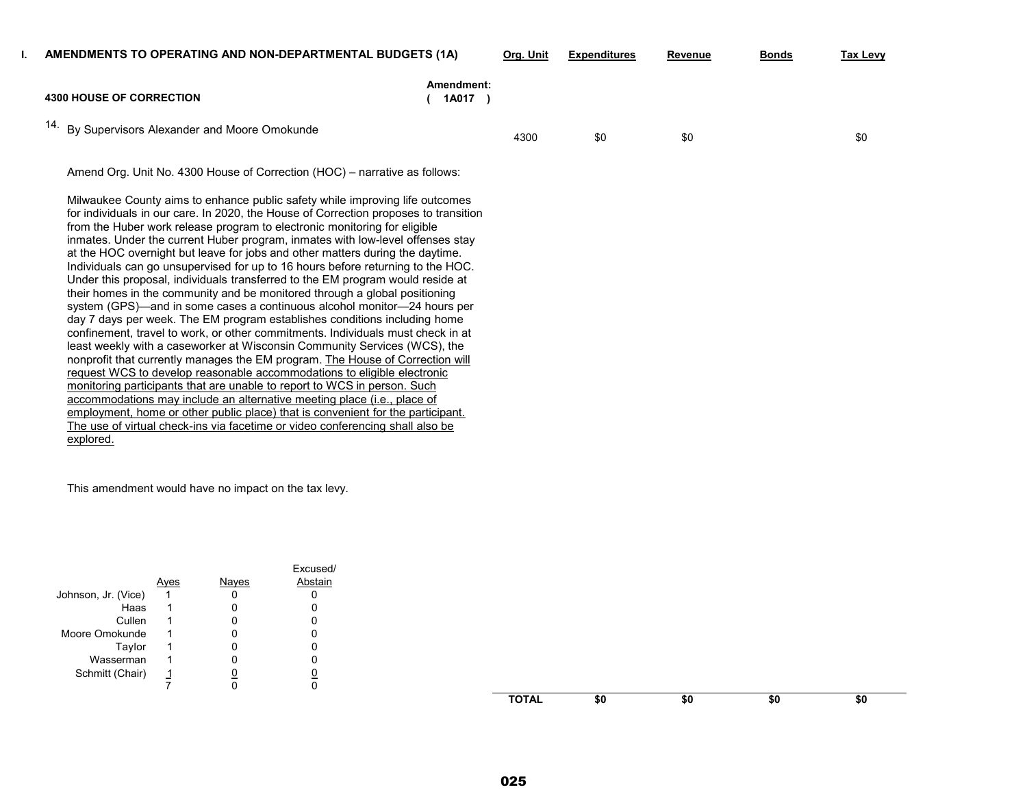| AMENDMENTS TO OPERATING AND NON-DEPARTMENTAL BUDGETS (1A)  |                     | Org. Unit | <b>Expenditures</b> | Revenue | <b>Bonds</b> | Tax Levy |
|------------------------------------------------------------|---------------------|-----------|---------------------|---------|--------------|----------|
| <b>4300 HOUSE OF CORRECTION</b>                            | Amendment:<br>1A017 |           |                     |         |              |          |
| <sup>14.</sup> By Supervisors Alexander and Moore Omokunde |                     | 4300      | \$0                 | \$0     |              | \$0      |

Amend Org. Unit No. 4300 House of Correction (HOC) – narrative as follows:

**I.**

Milwaukee County aims to enhance public safety while improving life outcomes for individuals in our care. In 2020, the House of Correction proposes to transition from the Huber work release program to electronic monitoring for eligible inmates. Under the current Huber program, inmates with low-level offenses stay at the HOC overnight but leave for jobs and other matters during the daytime. Individuals can go unsupervised for up to 16 hours before returning to the HOC. Under this proposal, individuals transferred to the EM program would reside at their homes in the community and be monitored through a global positioning system (GPS)—and in some cases a continuous alcohol monitor—24 hours per day 7 days per week. The EM program establishes conditions including home confinement, travel to work, or other commitments. Individuals must check in at least weekly with a caseworker at Wisconsin Community Services (WCS), the nonprofit that currently manages the EM program. The House of Correction will request WCS to develop reasonable accommodations to eligible electronic monitoring participants that are unable to report to WCS in person. Such accommodations may include an alternative meeting place (i.e., place of employment, home or other public place) that is convenient for the participant. The use of virtual check-ins via facetime or video conferencing shall also be explored.

This amendment would have no impact on the tax levy.

|                     |     |       | Excused/ |
|---------------------|-----|-------|----------|
|                     | ves | Nayes | Abstain  |
| Johnson, Jr. (Vice) |     |       |          |
| Haas                |     |       |          |
| Cullen              |     |       |          |
| Moore Omokunde      | 1   |       |          |
| Taylor              | 1   |       |          |
| Wasserman           | 1   |       |          |
| Schmitt (Chair)     | 1   |       |          |
|                     |     |       |          |
|                     |     |       |          |

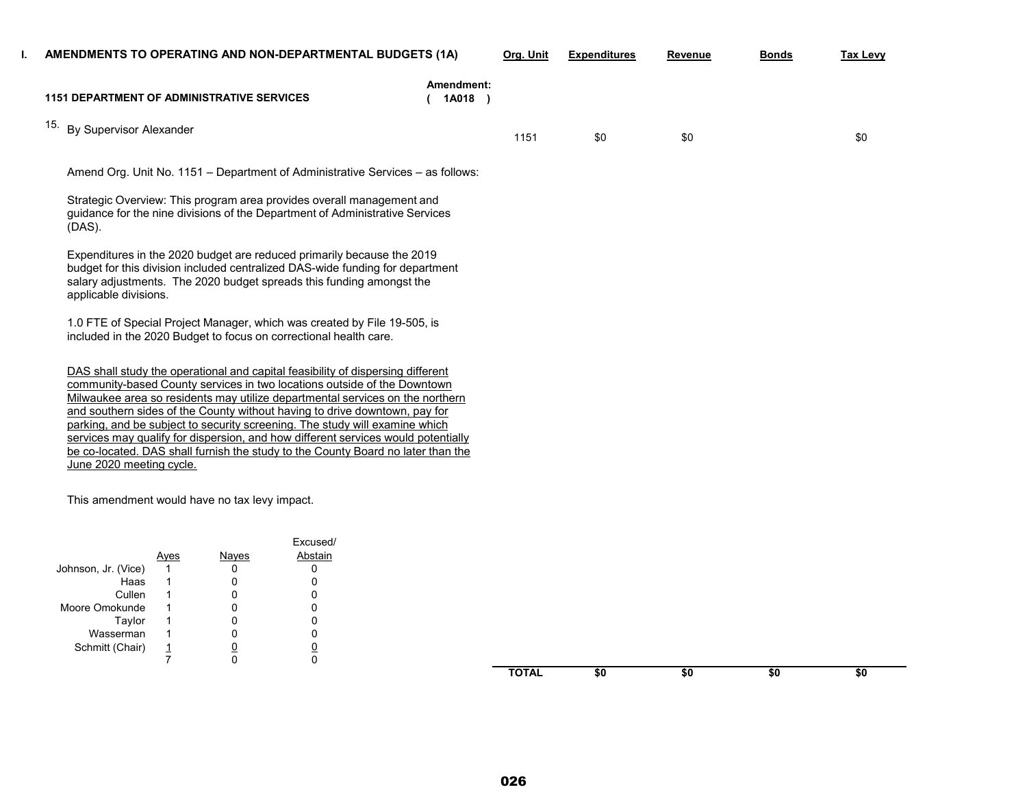| AMENDMENTS TO OPERATING AND NON-DEPARTMENTAL BUDGETS (1A)                                         |                                                                                                                   |                                                                              |                                                                                                                                                                                                                                                                                                                                                                                                                                                                                                                                                                                    |                                                                                | Org. Unit | <b>Expenditures</b> | Revenue | <b>Bonds</b> | <b>Tax Levy</b> |
|---------------------------------------------------------------------------------------------------|-------------------------------------------------------------------------------------------------------------------|------------------------------------------------------------------------------|------------------------------------------------------------------------------------------------------------------------------------------------------------------------------------------------------------------------------------------------------------------------------------------------------------------------------------------------------------------------------------------------------------------------------------------------------------------------------------------------------------------------------------------------------------------------------------|--------------------------------------------------------------------------------|-----------|---------------------|---------|--------------|-----------------|
| <b>1151 DEPARTMENT OF ADMINISTRATIVE SERVICES</b>                                                 |                                                                                                                   |                                                                              |                                                                                                                                                                                                                                                                                                                                                                                                                                                                                                                                                                                    | Amendment:<br>(1A018)                                                          |           |                     |         |              |                 |
| 15.<br><b>By Supervisor Alexander</b>                                                             |                                                                                                                   |                                                                              |                                                                                                                                                                                                                                                                                                                                                                                                                                                                                                                                                                                    |                                                                                | 1151      | \$0                 | \$0     |              | \$0             |
|                                                                                                   |                                                                                                                   |                                                                              |                                                                                                                                                                                                                                                                                                                                                                                                                                                                                                                                                                                    | Amend Org. Unit No. 1151 – Department of Administrative Services – as follows: |           |                     |         |              |                 |
| (DAS).                                                                                            |                                                                                                                   |                                                                              | Strategic Overview: This program area provides overall management and<br>guidance for the nine divisions of the Department of Administrative Services                                                                                                                                                                                                                                                                                                                                                                                                                              |                                                                                |           |                     |         |              |                 |
| applicable divisions.                                                                             |                                                                                                                   |                                                                              | Expenditures in the 2020 budget are reduced primarily because the 2019<br>budget for this division included centralized DAS-wide funding for department<br>salary adjustments. The 2020 budget spreads this funding amongst the                                                                                                                                                                                                                                                                                                                                                    |                                                                                |           |                     |         |              |                 |
|                                                                                                   |                                                                                                                   |                                                                              | 1.0 FTE of Special Project Manager, which was created by File 19-505, is<br>included in the 2020 Budget to focus on correctional health care.                                                                                                                                                                                                                                                                                                                                                                                                                                      |                                                                                |           |                     |         |              |                 |
| June 2020 meeting cycle.                                                                          |                                                                                                                   |                                                                              | DAS shall study the operational and capital feasibility of dispersing different<br>community-based County services in two locations outside of the Downtown<br>Milwaukee area so residents may utilize departmental services on the northern<br>and southern sides of the County without having to drive downtown, pay for<br>parking, and be subject to security screening. The study will examine which<br>services may qualify for dispersion, and how different services would potentially<br>be co-located. DAS shall furnish the study to the County Board no later than the |                                                                                |           |                     |         |              |                 |
| This amendment would have no tax levy impact.                                                     |                                                                                                                   |                                                                              |                                                                                                                                                                                                                                                                                                                                                                                                                                                                                                                                                                                    |                                                                                |           |                     |         |              |                 |
| Johnson, Jr. (Vice)<br>Haas<br>Cullen<br>Moore Omokunde<br>Taylor<br>Wasserman<br>Schmitt (Chair) | <u>Ayes</u><br>$\mathbf{1}$<br>1<br>$\mathbf{1}$<br>$\mathbf{1}$<br>$\mathbf{1}$<br>$\mathbf{1}$<br>$\frac{1}{7}$ | Nayes<br>0<br>0<br>0<br>0<br>0<br>$\mathbf 0$<br>$\underline{0}$<br>$\Omega$ | Excused/<br>Abstain<br>0<br>0<br>0<br>$\mathbf 0$<br>$\mathbf 0$<br>$\mathbf 0$<br>$\overline{0}$<br>$\mathbf 0$                                                                                                                                                                                                                                                                                                                                                                                                                                                                   |                                                                                |           |                     |         |              |                 |

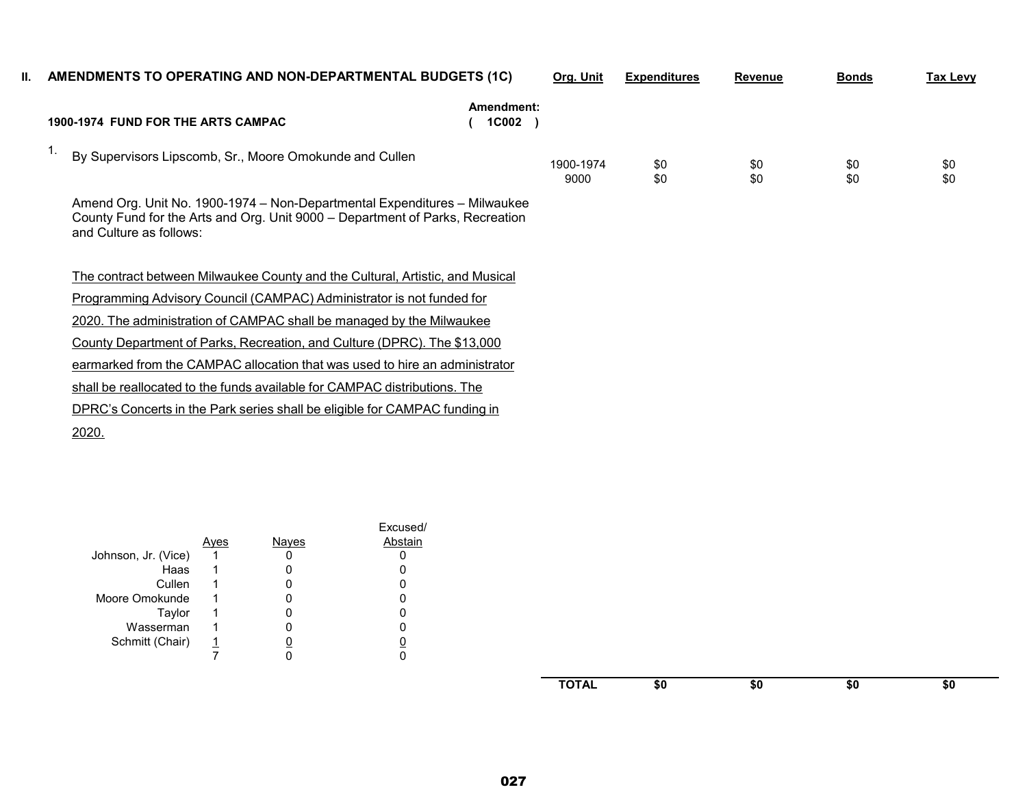| Ш. | AMENDMENTS TO OPERATING AND NON-DEPARTMENTAL BUDGETS (1C)                                                                                                                             |                         | Org. Unit         | <b>Expenditures</b> | <b>Revenue</b> | <b>Bonds</b> | Tax Levy   |
|----|---------------------------------------------------------------------------------------------------------------------------------------------------------------------------------------|-------------------------|-------------------|---------------------|----------------|--------------|------------|
|    | 1900-1974 FUND FOR THE ARTS CAMPAC                                                                                                                                                    | Amendment:<br>$1C002$ ) |                   |                     |                |              |            |
|    | By Supervisors Lipscomb, Sr., Moore Omokunde and Cullen                                                                                                                               |                         | 1900-1974<br>9000 | \$0<br>\$0          | \$0<br>\$0     | \$0<br>\$0   | \$0<br>\$0 |
|    | Amend Org. Unit No. 1900-1974 - Non-Departmental Expenditures - Milwaukee<br>County Fund for the Arts and Org. Unit 9000 - Department of Parks, Recreation<br>and Culture as follows: |                         |                   |                     |                |              |            |
|    | The contract between Milwaukee County and the Cultural, Artistic, and Musical                                                                                                         |                         |                   |                     |                |              |            |
|    | Programming Advisory Council (CAMPAC) Administrator is not funded for                                                                                                                 |                         |                   |                     |                |              |            |
|    | 2020. The administration of CAMPAC shall be managed by the Milwaukee                                                                                                                  |                         |                   |                     |                |              |            |
|    | County Department of Parks, Recreation, and Culture (DPRC). The \$13,000                                                                                                              |                         |                   |                     |                |              |            |
|    | earmarked from the CAMPAC allocation that was used to hire an administrator                                                                                                           |                         |                   |                     |                |              |            |
|    | shall be reallocated to the funds available for CAMPAC distributions. The                                                                                                             |                         |                   |                     |                |              |            |
|    | DPRC's Concerts in the Park series shall be eligible for CAMPAC funding in                                                                                                            |                         |                   |                     |                |              |            |
|    | 2020.                                                                                                                                                                                 |                         |                   |                     |                |              |            |

|                     |      |       | Excused/ |
|---------------------|------|-------|----------|
|                     | Aves | Nayes | Abstain  |
| Johnson, Jr. (Vice) |      |       |          |
| Haas                |      |       |          |
| Cullen              |      |       |          |
| Moore Omokunde      |      |       |          |
| Taylor              |      |       |          |
| Wasserman           |      |       |          |
| Schmitt (Chair)     |      |       |          |
|                     |      |       |          |

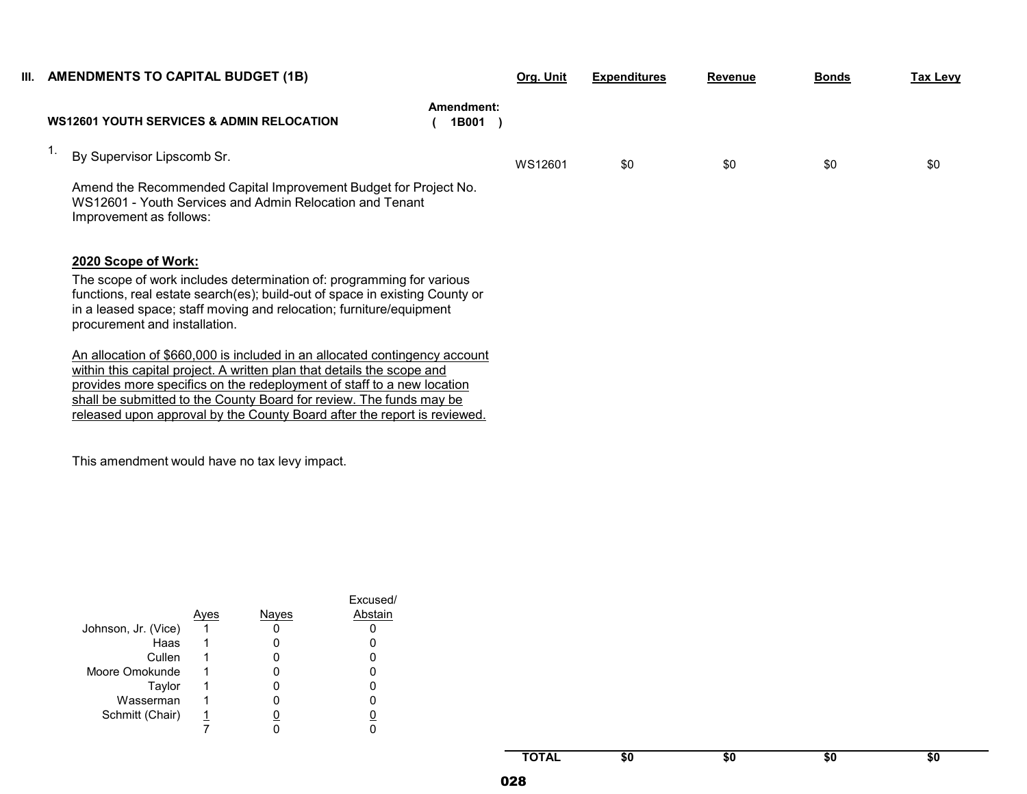| <b>AMENDMENTS TO CAPITAL BUDGET (1B)</b>                                                                                                                                                                                                                                                                                                                                                                                                                                                                                                                                                                                                                                |                     | Org. Unit | <b>Expenditures</b> | <b>Revenue</b> | <b>Bonds</b> | Tax Levy |
|-------------------------------------------------------------------------------------------------------------------------------------------------------------------------------------------------------------------------------------------------------------------------------------------------------------------------------------------------------------------------------------------------------------------------------------------------------------------------------------------------------------------------------------------------------------------------------------------------------------------------------------------------------------------------|---------------------|-----------|---------------------|----------------|--------------|----------|
| <b>WS12601 YOUTH SERVICES &amp; ADMIN RELOCATION</b>                                                                                                                                                                                                                                                                                                                                                                                                                                                                                                                                                                                                                    | Amendment:<br>1B001 |           |                     |                |              |          |
| By Supervisor Lipscomb Sr.                                                                                                                                                                                                                                                                                                                                                                                                                                                                                                                                                                                                                                              |                     | WS12601   | \$0                 | \$0            | \$0          | \$0      |
| Amend the Recommended Capital Improvement Budget for Project No.<br>WS12601 - Youth Services and Admin Relocation and Tenant<br>Improvement as follows:                                                                                                                                                                                                                                                                                                                                                                                                                                                                                                                 |                     |           |                     |                |              |          |
| 2020 Scope of Work:<br>The scope of work includes determination of: programming for various<br>functions, real estate search(es); build-out of space in existing County or<br>in a leased space; staff moving and relocation; furniture/equipment<br>procurement and installation.<br>An allocation of \$660,000 is included in an allocated contingency account<br>within this capital project. A written plan that details the scope and<br>provides more specifics on the redeployment of staff to a new location<br>shall be submitted to the County Board for review. The funds may be<br>released upon approval by the County Board after the report is reviewed. |                     |           |                     |                |              |          |

This amendment would have no tax levy impact.

|                     |     |       | Excused/ |
|---------------------|-----|-------|----------|
|                     | ves | Naves | Abstain  |
| Johnson, Jr. (Vice) |     |       |          |
| Haas                |     |       |          |
| Cullen              |     |       |          |
| Moore Omokunde      |     |       |          |
| Taylor              |     |       |          |
| Wasserman           |     |       |          |
| Schmitt (Chair)     | 1   |       |          |
|                     |     |       |          |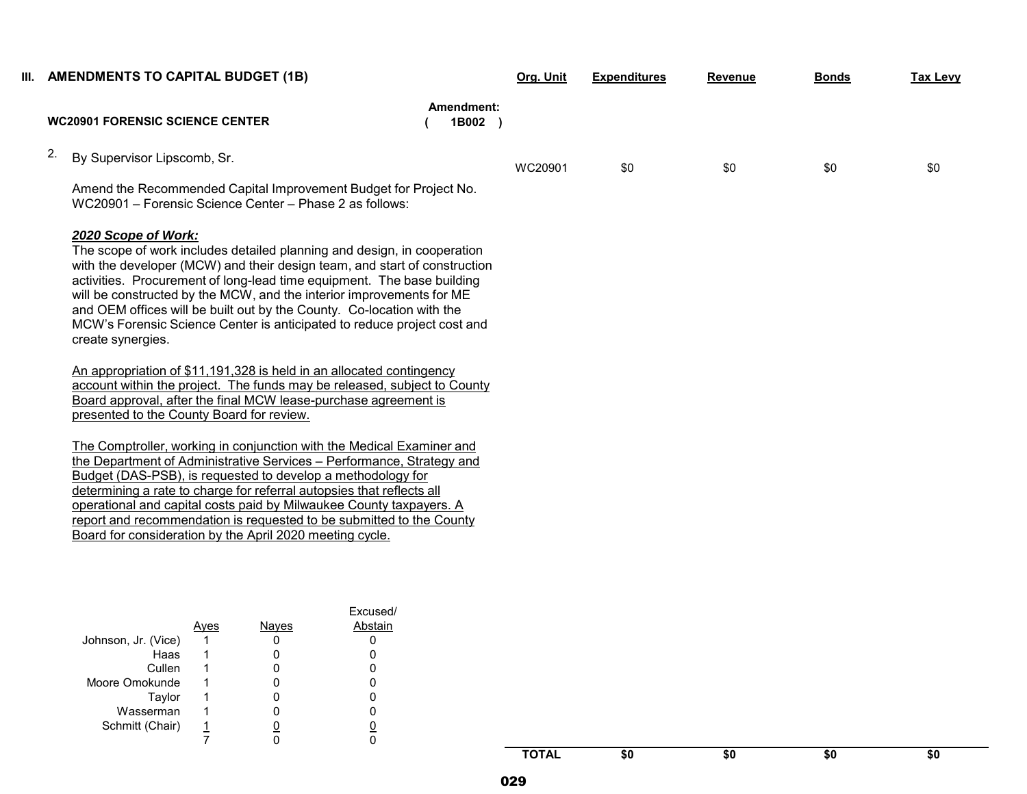|    | III. AMENDMENTS TO CAPITAL BUDGET (1B)                                                                                                                                                                                                                                                                                                                                                                                                                                                                 |                     | Org. Unit | <b>Expenditures</b> | <b>Revenue</b> | <b>Bonds</b> | <b>Tax Levy</b> |
|----|--------------------------------------------------------------------------------------------------------------------------------------------------------------------------------------------------------------------------------------------------------------------------------------------------------------------------------------------------------------------------------------------------------------------------------------------------------------------------------------------------------|---------------------|-----------|---------------------|----------------|--------------|-----------------|
|    | <b>WC20901 FORENSIC SCIENCE CENTER</b>                                                                                                                                                                                                                                                                                                                                                                                                                                                                 | Amendment:<br>1B002 |           |                     |                |              |                 |
| 2. | By Supervisor Lipscomb, Sr.                                                                                                                                                                                                                                                                                                                                                                                                                                                                            |                     | WC20901   | \$0                 | \$0            | \$0          | \$0             |
|    | Amend the Recommended Capital Improvement Budget for Project No.<br>WC20901 - Forensic Science Center - Phase 2 as follows:                                                                                                                                                                                                                                                                                                                                                                            |                     |           |                     |                |              |                 |
|    | 2020 Scope of Work:<br>The scope of work includes detailed planning and design, in cooperation<br>with the developer (MCW) and their design team, and start of construction<br>activities. Procurement of long-lead time equipment. The base building<br>will be constructed by the MCW, and the interior improvements for ME<br>and OEM offices will be built out by the County. Co-location with the<br>MCW's Forensic Science Center is anticipated to reduce project cost and<br>create synergies. |                     |           |                     |                |              |                 |
|    | An appropriation of \$11,191,328 is held in an allocated contingency<br>account within the project. The funds may be released, subject to County<br>Board approval, after the final MCW lease-purchase agreement is<br>presented to the County Board for review.                                                                                                                                                                                                                                       |                     |           |                     |                |              |                 |
|    | The Comptroller, working in conjunction with the Medical Examiner and<br>the Department of Administrative Services - Performance, Strategy and<br>Budget (DAS-PSB), is requested to develop a methodology for<br>determining a rate to charge for referral autopsies that reflects all<br>operational and capital costs paid by Milwaukee County taxpayers. A<br>report and recommendation is requested to be submitted to the County                                                                  |                     |           |                     |                |              |                 |

|                     | ves | Naves | Excused/<br>Abstain |
|---------------------|-----|-------|---------------------|
| Johnson, Jr. (Vice) |     |       |                     |
| Haas                |     |       |                     |
| Cullen              |     |       |                     |
| Moore Omokunde      |     |       |                     |
| Taylor              |     |       |                     |
| Wasserman           |     |       |                     |
| Schmitt (Chair)     | 1   |       |                     |
|                     |     |       |                     |